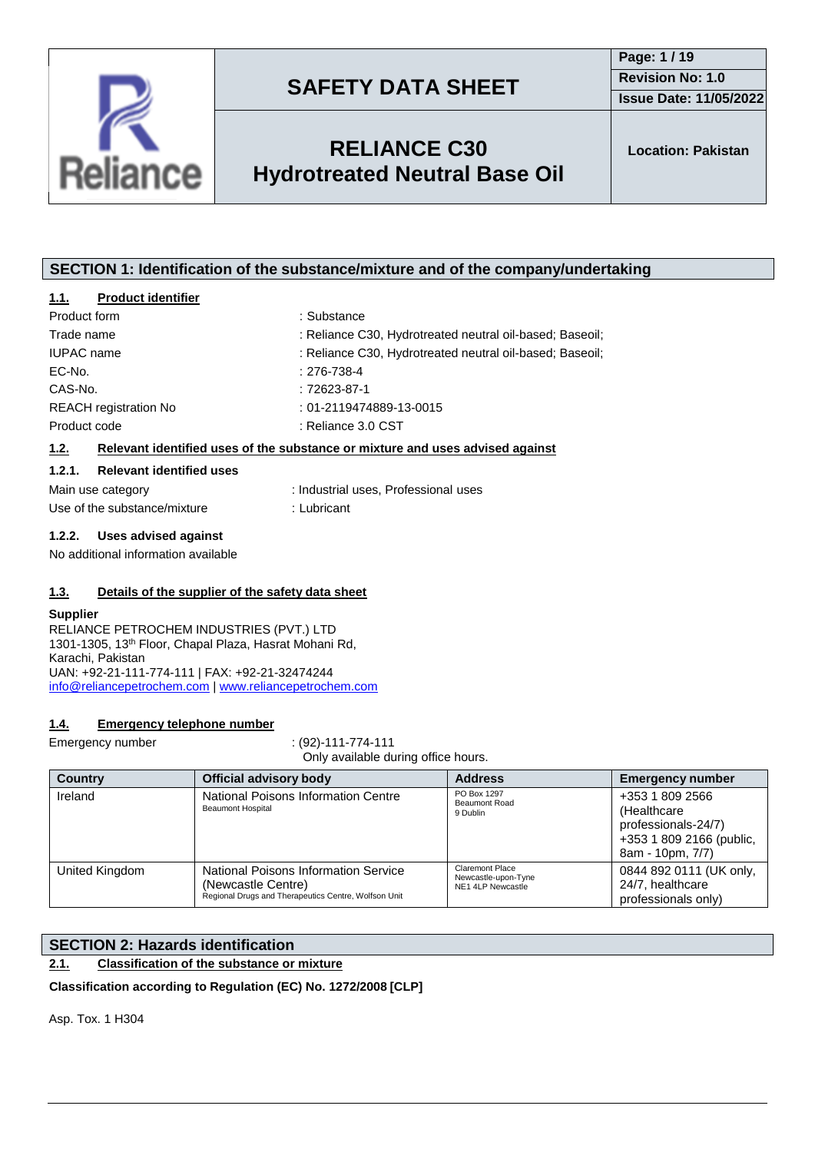



## **RELIANCE C30 Hydrotreated Neutral Base Oil**

### **SECTION 1: Identification of the substance/mixture and of the company/undertaking**

#### **1.1. Product identifier**

| Product form                 | : Substance                                              |
|------------------------------|----------------------------------------------------------|
| Trade name                   | : Reliance C30, Hydrotreated neutral oil-based; Baseoil; |
| <b>IUPAC</b> name            | : Reliance C30, Hydrotreated neutral oil-based; Baseoil; |
| EC-No.                       | $: 276 - 738 - 4$                                        |
| CAS-No.                      | $:72623-87-1$                                            |
| <b>REACH</b> registration No | $: 01 - 2119474889 - 13 - 0015$                          |
| Product code                 | : Reliance 3.0 CST                                       |
|                              |                                                          |

#### **1.2. Relevant identified uses of the substance or mixture and uses advised against**

#### **1.2.1. Relevant identified uses**

| Main use category            | : Industrial uses, Professional uses |
|------------------------------|--------------------------------------|
| Use of the substance/mixture | : Lubricant                          |

#### **1.2.2. Uses advised against**

No additional information available

#### **1.3. Details of the supplier of the safety data sheet**

#### **Supplier**

RELIANCE PETROCHEM INDUSTRIES (PVT.) LTD 1301-1305, 13th Floor, Chapal Plaza, Hasrat Mohani Rd, Karachi, Pakistan UAN: +92-21-111-774-111 | FAX: +92-21-32474244 [info@reliancepetrochem.com](mailto:info@reliancepetrochem.com) | [www.reliancepetrochem.com](http://www.reliancepetrochem.com/)

#### **1.4. Emergency telephone number**

Emergency number : (92)-111-774-111 Only available during office hours.

| <b>Country</b> | <b>Official advisory body</b>                                                                                      | <b>Address</b>                                                     | <b>Emergency number</b>                                                                               |
|----------------|--------------------------------------------------------------------------------------------------------------------|--------------------------------------------------------------------|-------------------------------------------------------------------------------------------------------|
| Ireland        | National Poisons Information Centre<br><b>Beaumont Hospital</b>                                                    | PO Box 1297<br><b>Beaumont Road</b><br>9 Dublin                    | +353 1 809 2566<br>(Healthcare<br>professionals-24/7)<br>+353 1 809 2166 (public,<br>8am - 10pm, 7/7) |
| United Kingdom | National Poisons Information Service<br>(Newcastle Centre)<br>Regional Drugs and Therapeutics Centre, Wolfson Unit | <b>Claremont Place</b><br>Newcastle-upon-Tyne<br>NE1 4LP Newcastle | 0844 892 0111 (UK only,<br>24/7, healthcare<br>professionals only)                                    |

### **SECTION 2: Hazards identification**

### **2.1. Classification of the substance or mixture**

**Classification according to Regulation (EC) No. 1272/2008 [CLP]**

Asp. Tox. 1 H304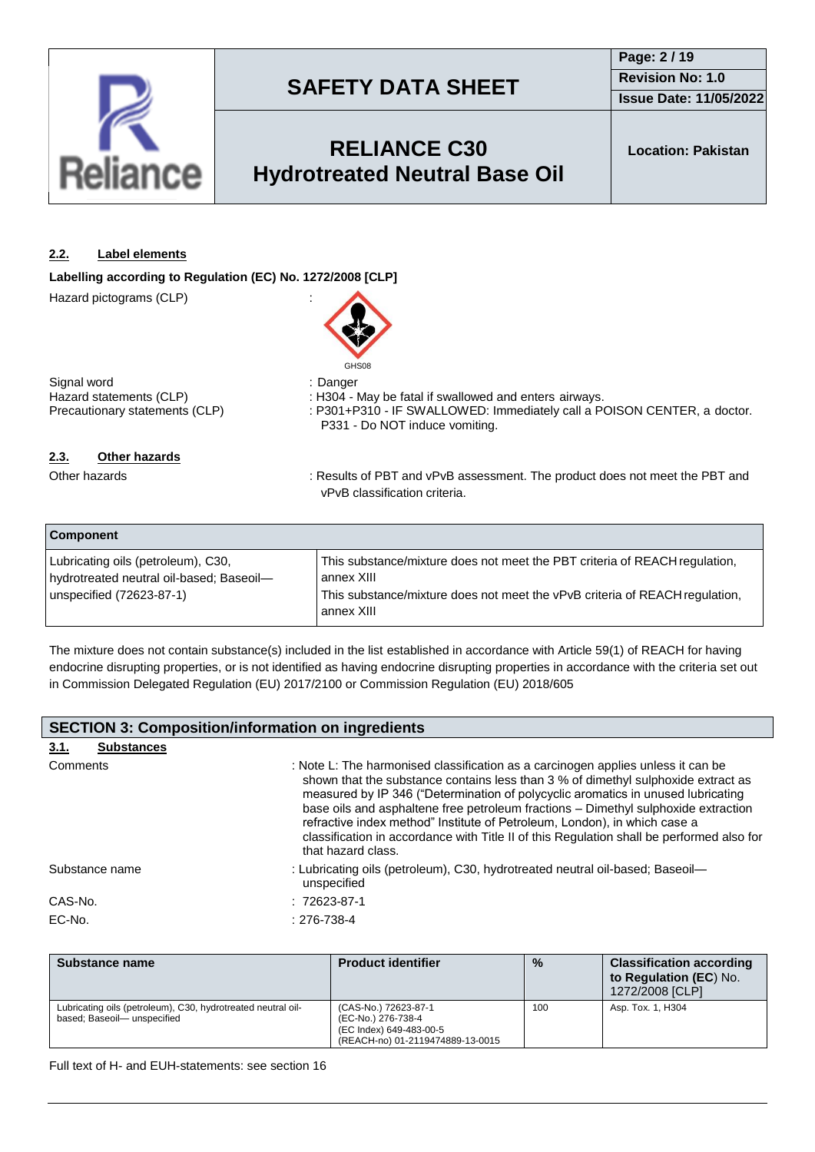

## **Page: 2 / 19 Revision No: 1.0**

**Issue Date: 11/05/2022**

## **RELIANCE C30 Hydrotreated Neutral Base Oil**

### **2.2. Label elements**

**Labelling according to Regulation (EC) No. 1272/2008 [CLP]**

Hazard pictograms (CLP) :



Signal word : Danger Hazard statements (CLP) : H304 - May be fatal if swallowed and enters airways.<br>Precautionary statements (CLP) : P301+P310 - IF SWALLOWED: Immediately call a P

: P301+P310 - IF SWALLOWED: Immediately call a POISON CENTER, a doctor. P331 - Do NOT induce vomiting.

### **2.3. Other hazards**

Other hazards **in the PBT** and vPvB assessment. The product does not meet the PBT and vPvB classification criteria.

| <b>Component</b>                         |                                                                                           |  |
|------------------------------------------|-------------------------------------------------------------------------------------------|--|
| Lubricating oils (petroleum), C30,       | This substance/mixture does not meet the PBT criteria of REACH regulation,                |  |
| hydrotreated neutral oil-based; Baseoil- | annex XIII                                                                                |  |
| unspecified (72623-87-1)                 | This substance/mixture does not meet the vPvB criteria of REACH regulation,<br>annex XIII |  |

The mixture does not contain substance(s) included in the list established in accordance with Article 59(1) of REACH for having endocrine disrupting properties, or is not identified as having endocrine disrupting properties in accordance with the criteria set out in Commission Delegated Regulation (EU) 2017/2100 or Commission Regulation (EU) 2018/605

|          | <b>SECTION 3: Composition/information on ingredients</b> |                                                                                                                                                                                                                                                                                                                                                                                                                                                                                                                                                 |  |
|----------|----------------------------------------------------------|-------------------------------------------------------------------------------------------------------------------------------------------------------------------------------------------------------------------------------------------------------------------------------------------------------------------------------------------------------------------------------------------------------------------------------------------------------------------------------------------------------------------------------------------------|--|
| 3.1.     | <b>Substances</b>                                        |                                                                                                                                                                                                                                                                                                                                                                                                                                                                                                                                                 |  |
| Comments |                                                          | : Note L: The harmonised classification as a carcinogen applies unless it can be<br>shown that the substance contains less than 3 % of dimethyl sulphoxide extract as<br>measured by IP 346 ("Determination of polycyclic aromatics in unused lubricating<br>base oils and asphaltene free petroleum fractions - Dimethyl sulphoxide extraction<br>refractive index method" Institute of Petroleum, London), in which case a<br>classification in accordance with Title II of this Regulation shall be performed also for<br>that hazard class. |  |
|          | Substance name                                           | : Lubricating oils (petroleum), C30, hydrotreated neutral oil-based; Baseoil-<br>unspecified                                                                                                                                                                                                                                                                                                                                                                                                                                                    |  |
| CAS-No.  |                                                          | $:72623-87-1$                                                                                                                                                                                                                                                                                                                                                                                                                                                                                                                                   |  |
| EC-No.   |                                                          | $: 276 - 738 - 4$                                                                                                                                                                                                                                                                                                                                                                                                                                                                                                                               |  |

| Substance name                                                                             | <b>Product identifier</b>                                                                                 | $\frac{0}{0}$ | <b>Classification according</b><br>to Regulation (EC) No.<br>1272/2008 [CLP] |
|--------------------------------------------------------------------------------------------|-----------------------------------------------------------------------------------------------------------|---------------|------------------------------------------------------------------------------|
| Lubricating oils (petroleum), C30, hydrotreated neutral oil-<br>based; Baseoil-unspecified | (CAS-No.) 72623-87-1<br>(EC-No.) 276-738-4<br>(EC Index) 649-483-00-5<br>(REACH-no) 01-2119474889-13-0015 | 100           | Asp. Tox. 1, H304                                                            |

Full text of H- and EUH-statements: see section 16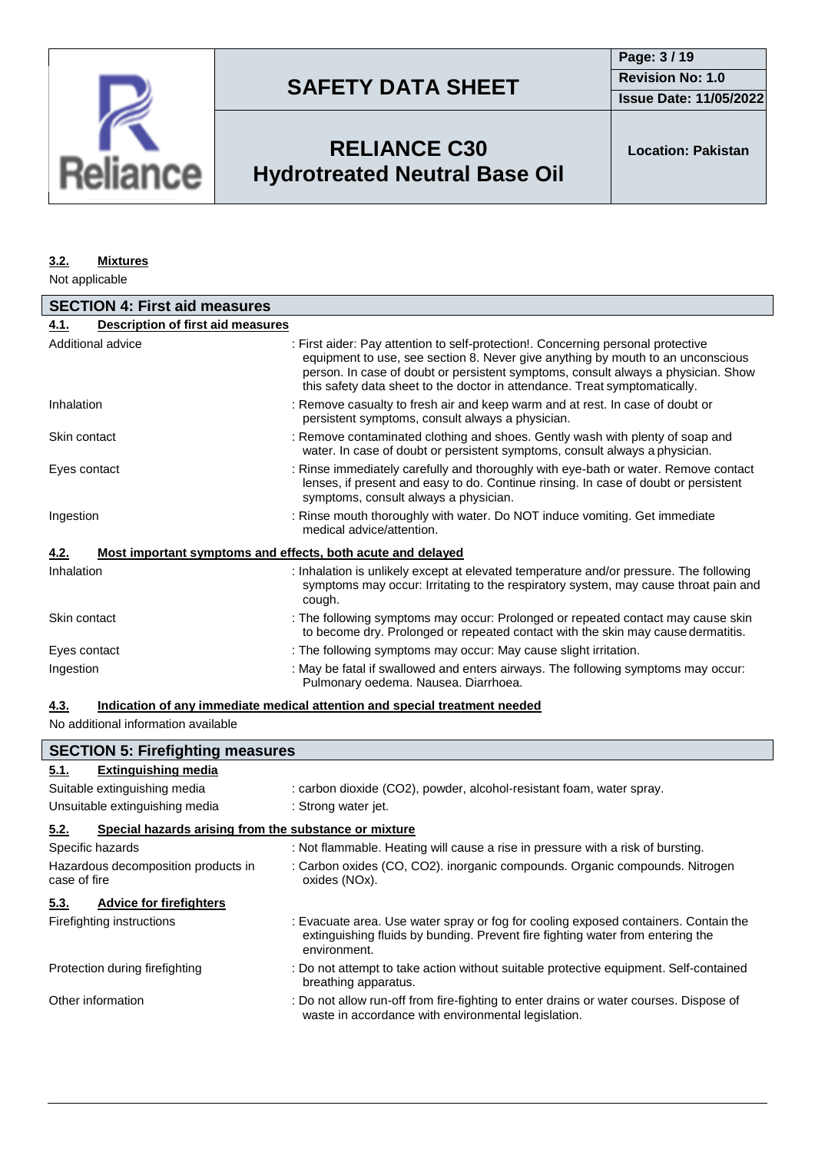

**Issue Date: 11/05/2022**

## **RELIANCE C30 Hydrotreated Neutral Base Oil**

**Location: Pakistan**

#### **3.2. Mixtures**

Not applicable

| <b>SECTION 4: First aid measures</b>             |                                                                                                                                                                                                                                                                                                                                        |  |
|--------------------------------------------------|----------------------------------------------------------------------------------------------------------------------------------------------------------------------------------------------------------------------------------------------------------------------------------------------------------------------------------------|--|
| <b>Description of first aid measures</b><br>4.1. |                                                                                                                                                                                                                                                                                                                                        |  |
| Additional advice                                | : First aider: Pay attention to self-protection!. Concerning personal protective<br>equipment to use, see section 8. Never give anything by mouth to an unconscious<br>person. In case of doubt or persistent symptoms, consult always a physician. Show<br>this safety data sheet to the doctor in attendance. Treat symptomatically. |  |
| Inhalation                                       | : Remove casualty to fresh air and keep warm and at rest. In case of doubt or<br>persistent symptoms, consult always a physician.                                                                                                                                                                                                      |  |
| Skin contact                                     | : Remove contaminated clothing and shoes. Gently wash with plenty of soap and<br>water. In case of doubt or persistent symptoms, consult always a physician.                                                                                                                                                                           |  |
| Eyes contact                                     | : Rinse immediately carefully and thoroughly with eye-bath or water. Remove contact<br>lenses, if present and easy to do. Continue rinsing. In case of doubt or persistent<br>symptoms, consult always a physician.                                                                                                                    |  |
| Ingestion                                        | : Rinse mouth thoroughly with water. Do NOT induce vomiting. Get immediate<br>medical advice/attention.                                                                                                                                                                                                                                |  |
| 4.2.                                             | Most important symptoms and effects, both acute and delayed                                                                                                                                                                                                                                                                            |  |
| Inhalation                                       | : Inhalation is unlikely except at elevated temperature and/or pressure. The following<br>symptoms may occur: Irritating to the respiratory system, may cause throat pain and<br>cough.                                                                                                                                                |  |
| Skin contact                                     | : The following symptoms may occur: Prolonged or repeated contact may cause skin<br>to become dry. Prolonged or repeated contact with the skin may cause dermatitis.                                                                                                                                                                   |  |
| Eyes contact                                     | : The following symptoms may occur: May cause slight irritation.                                                                                                                                                                                                                                                                       |  |
| Ingestion                                        | : May be fatal if swallowed and enters airways. The following symptoms may occur:<br>Pulmonary oedema. Nausea. Diarrhoea.                                                                                                                                                                                                              |  |

### **4.3. Indication of any immediate medical attention and special treatment needed**

No additional information available

|                                                               | <b>SECTION 5: Firefighting measures</b>                                                                                                                                               |  |  |
|---------------------------------------------------------------|---------------------------------------------------------------------------------------------------------------------------------------------------------------------------------------|--|--|
| <b>Extinguishing media</b><br>5.1.                            |                                                                                                                                                                                       |  |  |
| Suitable extinguishing media                                  | : carbon dioxide (CO2), powder, alcohol-resistant foam, water spray.                                                                                                                  |  |  |
| Unsuitable extinguishing media                                | : Strong water jet.                                                                                                                                                                   |  |  |
| 5.2.<br>Special hazards arising from the substance or mixture |                                                                                                                                                                                       |  |  |
| Specific hazards                                              | : Not flammable. Heating will cause a rise in pressure with a risk of bursting.                                                                                                       |  |  |
| Hazardous decomposition products in<br>case of fire           | : Carbon oxides (CO, CO2). inorganic compounds. Organic compounds. Nitrogen<br>oxides (NOx).                                                                                          |  |  |
| <b>Advice for firefighters</b><br>5.3.                        |                                                                                                                                                                                       |  |  |
| Firefighting instructions                                     | : Evacuate area. Use water spray or fog for cooling exposed containers. Contain the<br>extinguishing fluids by bunding. Prevent fire fighting water from entering the<br>environment. |  |  |
| Protection during firefighting                                | : Do not attempt to take action without suitable protective equipment. Self-contained<br>breathing apparatus.                                                                         |  |  |
| Other information                                             | : Do not allow run-off from fire-fighting to enter drains or water courses. Dispose of<br>waste in accordance with environmental legislation.                                         |  |  |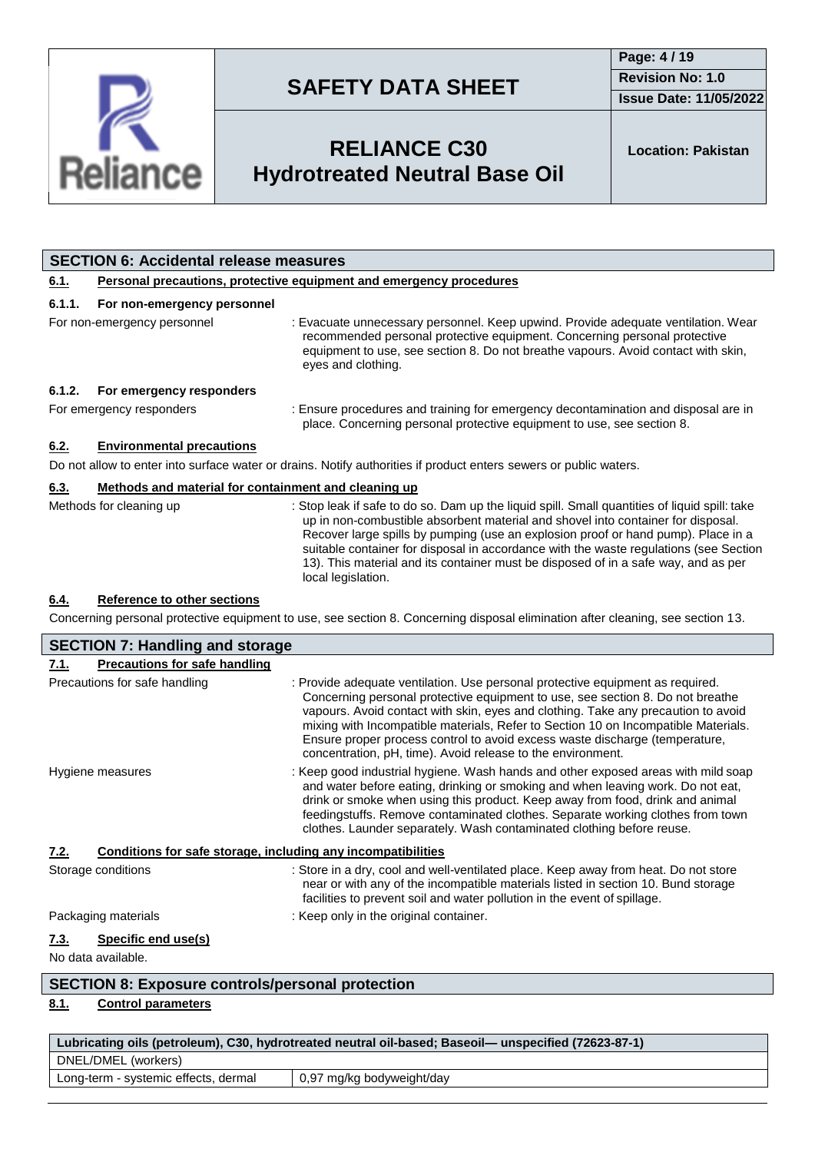

**Issue Date: 11/05/2022**

## **RELIANCE C30 Hydrotreated Neutral Base Oil**

**Location: Pakistan**

| <b>SECTION 6: Accidental release measures</b> |                                                                            |                                                                                                                                                                                                                                                                                                                                                                                                                                                                             |  |
|-----------------------------------------------|----------------------------------------------------------------------------|-----------------------------------------------------------------------------------------------------------------------------------------------------------------------------------------------------------------------------------------------------------------------------------------------------------------------------------------------------------------------------------------------------------------------------------------------------------------------------|--|
| 6.1.                                          | <b>Personal precautions, protective equipment and emergency procedures</b> |                                                                                                                                                                                                                                                                                                                                                                                                                                                                             |  |
| 6.1.1.                                        | For non-emergency personnel                                                |                                                                                                                                                                                                                                                                                                                                                                                                                                                                             |  |
|                                               | For non-emergency personnel                                                | : Evacuate unnecessary personnel. Keep upwind. Provide adequate ventilation. Wear<br>recommended personal protective equipment. Concerning personal protective<br>equipment to use, see section 8. Do not breathe vapours. Avoid contact with skin,<br>eyes and clothing.                                                                                                                                                                                                   |  |
| 6.1.2.                                        | For emergency responders                                                   |                                                                                                                                                                                                                                                                                                                                                                                                                                                                             |  |
|                                               | For emergency responders                                                   | : Ensure procedures and training for emergency decontamination and disposal are in<br>place. Concerning personal protective equipment to use, see section 8.                                                                                                                                                                                                                                                                                                                |  |
| 6.2.                                          | <b>Environmental precautions</b>                                           |                                                                                                                                                                                                                                                                                                                                                                                                                                                                             |  |
|                                               |                                                                            | Do not allow to enter into surface water or drains. Notify authorities if product enters sewers or public waters.                                                                                                                                                                                                                                                                                                                                                           |  |
| 6.3.                                          | Methods and material for containment and cleaning up                       |                                                                                                                                                                                                                                                                                                                                                                                                                                                                             |  |
|                                               | Methods for cleaning up                                                    | : Stop leak if safe to do so. Dam up the liquid spill. Small quantities of liquid spill: take<br>up in non-combustible absorbent material and shovel into container for disposal.<br>Recover large spills by pumping (use an explosion proof or hand pump). Place in a<br>suitable container for disposal in accordance with the waste regulations (see Section<br>13). This material and its container must be disposed of in a safe way, and as per<br>local legislation. |  |
| 6.4.                                          | <b>Reference to other sections</b>                                         |                                                                                                                                                                                                                                                                                                                                                                                                                                                                             |  |
|                                               |                                                                            | Concerning personal protective equipment to use, see section 8. Concerning disposal elimination after cleaning, see section 13.                                                                                                                                                                                                                                                                                                                                             |  |
|                                               | <b>SECTION 7: Handling and storage</b>                                     |                                                                                                                                                                                                                                                                                                                                                                                                                                                                             |  |

| 7.1.                       | <b>Precautions for safe handling</b>                         |                                                                                                                                                                                                                                                                                                                                                                                                                                                                                           |
|----------------------------|--------------------------------------------------------------|-------------------------------------------------------------------------------------------------------------------------------------------------------------------------------------------------------------------------------------------------------------------------------------------------------------------------------------------------------------------------------------------------------------------------------------------------------------------------------------------|
|                            | Precautions for safe handling                                | : Provide adequate ventilation. Use personal protective equipment as required.<br>Concerning personal protective equipment to use, see section 8. Do not breathe<br>vapours. Avoid contact with skin, eyes and clothing. Take any precaution to avoid<br>mixing with Incompatible materials, Refer to Section 10 on Incompatible Materials.<br>Ensure proper process control to avoid excess waste discharge (temperature,<br>concentration, pH, time). Avoid release to the environment. |
| Hygiene measures           |                                                              | : Keep good industrial hygiene. Wash hands and other exposed areas with mild soap<br>and water before eating, drinking or smoking and when leaving work. Do not eat,<br>drink or smoke when using this product. Keep away from food, drink and animal<br>feedingstuffs. Remove contaminated clothes. Separate working clothes from town<br>clothes. Launder separately. Wash contaminated clothing before reuse.                                                                          |
| 7.2.                       | Conditions for safe storage, including any incompatibilities |                                                                                                                                                                                                                                                                                                                                                                                                                                                                                           |
| Storage conditions         |                                                              | : Store in a dry, cool and well-ventilated place. Keep away from heat. Do not store<br>near or with any of the incompatible materials listed in section 10. Bund storage<br>facilities to prevent soil and water pollution in the event of spillage.                                                                                                                                                                                                                                      |
|                            | Packaging materials                                          | : Keep only in the original container.                                                                                                                                                                                                                                                                                                                                                                                                                                                    |
| 7.3.<br>No data available. | Specific end use(s)                                          |                                                                                                                                                                                                                                                                                                                                                                                                                                                                                           |
|                            | $\sim$ $\sim$ $\sim$ $\sim$                                  |                                                                                                                                                                                                                                                                                                                                                                                                                                                                                           |

### **SECTION 8: Exposure controls/personal protection**

### **8.1. Control parameters**

| Lubricating oils (petroleum), C30, hydrotreated neutral oil-based; Baseoil— unspecified (72623-87-1) |                           |  |
|------------------------------------------------------------------------------------------------------|---------------------------|--|
| DNEL/DMEL (workers)                                                                                  |                           |  |
| Long-term - systemic effects, dermal                                                                 | 0,97 mg/kg bodyweight/day |  |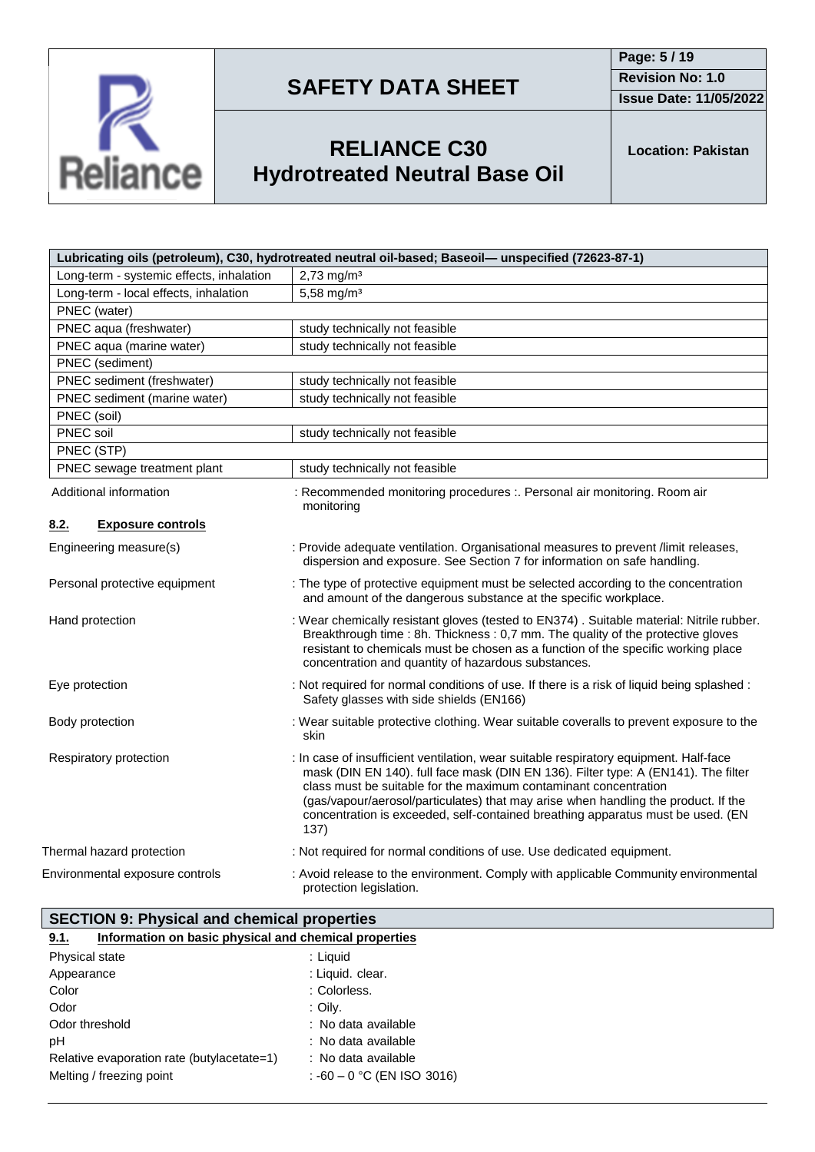



# **RELIANCE C30 Hydrotreated Neutral Base Oil**

**Location: Pakistan**

| Lubricating oils (petroleum), C30, hydrotreated neutral oil-based; Baseoil- unspecified (72623-87-1) |                                                                                                                                                                                                                                                                                                                                                                                                                                  |  |
|------------------------------------------------------------------------------------------------------|----------------------------------------------------------------------------------------------------------------------------------------------------------------------------------------------------------------------------------------------------------------------------------------------------------------------------------------------------------------------------------------------------------------------------------|--|
| Long-term - systemic effects, inhalation                                                             | $2,73$ mg/m <sup>3</sup>                                                                                                                                                                                                                                                                                                                                                                                                         |  |
| Long-term - local effects, inhalation                                                                | 5,58 mg/m <sup>3</sup>                                                                                                                                                                                                                                                                                                                                                                                                           |  |
| PNEC (water)                                                                                         |                                                                                                                                                                                                                                                                                                                                                                                                                                  |  |
| PNEC aqua (freshwater)                                                                               | study technically not feasible                                                                                                                                                                                                                                                                                                                                                                                                   |  |
| PNEC aqua (marine water)                                                                             | study technically not feasible                                                                                                                                                                                                                                                                                                                                                                                                   |  |
| PNEC (sediment)                                                                                      |                                                                                                                                                                                                                                                                                                                                                                                                                                  |  |
| PNEC sediment (freshwater)                                                                           | study technically not feasible                                                                                                                                                                                                                                                                                                                                                                                                   |  |
| PNEC sediment (marine water)                                                                         | study technically not feasible                                                                                                                                                                                                                                                                                                                                                                                                   |  |
| PNEC (soil)                                                                                          |                                                                                                                                                                                                                                                                                                                                                                                                                                  |  |
| PNEC soil                                                                                            | study technically not feasible                                                                                                                                                                                                                                                                                                                                                                                                   |  |
| PNEC (STP)                                                                                           |                                                                                                                                                                                                                                                                                                                                                                                                                                  |  |
| PNEC sewage treatment plant                                                                          | study technically not feasible                                                                                                                                                                                                                                                                                                                                                                                                   |  |
| Additional information                                                                               | : Recommended monitoring procedures :. Personal air monitoring. Room air<br>monitoring                                                                                                                                                                                                                                                                                                                                           |  |
| <b>Exposure controls</b><br>8.2.                                                                     |                                                                                                                                                                                                                                                                                                                                                                                                                                  |  |
| Engineering measure(s)                                                                               | : Provide adequate ventilation. Organisational measures to prevent /limit releases,<br>dispersion and exposure. See Section 7 for information on safe handling.                                                                                                                                                                                                                                                                  |  |
| Personal protective equipment                                                                        | : The type of protective equipment must be selected according to the concentration<br>and amount of the dangerous substance at the specific workplace.                                                                                                                                                                                                                                                                           |  |
| Hand protection                                                                                      | : Wear chemically resistant gloves (tested to EN374). Suitable material: Nitrile rubber.<br>Breakthrough time : 8h. Thickness : 0,7 mm. The quality of the protective gloves<br>resistant to chemicals must be chosen as a function of the specific working place<br>concentration and quantity of hazardous substances.                                                                                                         |  |
| Eye protection                                                                                       | : Not required for normal conditions of use. If there is a risk of liquid being splashed :<br>Safety glasses with side shields (EN166)                                                                                                                                                                                                                                                                                           |  |
| Body protection                                                                                      | : Wear suitable protective clothing. Wear suitable coveralls to prevent exposure to the<br>skin                                                                                                                                                                                                                                                                                                                                  |  |
| Respiratory protection                                                                               | : In case of insufficient ventilation, wear suitable respiratory equipment. Half-face<br>mask (DIN EN 140). full face mask (DIN EN 136). Filter type: A (EN141). The filter<br>class must be suitable for the maximum contaminant concentration<br>(gas/vapour/aerosol/particulates) that may arise when handling the product. If the<br>concentration is exceeded, self-contained breathing apparatus must be used. (EN<br>137) |  |
| Thermal hazard protection                                                                            | : Not required for normal conditions of use. Use dedicated equipment.                                                                                                                                                                                                                                                                                                                                                            |  |
| Environmental exposure controls                                                                      | : Avoid release to the environment. Comply with applicable Community environmental<br>protection legislation.                                                                                                                                                                                                                                                                                                                    |  |

| <b>SECTION 9: Physical and chemical properties</b> |  |  |
|----------------------------------------------------|--|--|
|                                                    |  |  |

Reliance

| Information on basic physical and chemical properties<br>9.1. |                              |
|---------------------------------------------------------------|------------------------------|
| Physical state                                                | : Liquid                     |
| Appearance                                                    | : Liquid. clear.             |
| Color                                                         | : Colorless.                 |
| Odor                                                          | : Oily.                      |
| Odor threshold                                                | : No data available          |
| рH                                                            | : No data available          |
| Relative evaporation rate (butylacetate=1)                    | : No data available          |
| Melting / freezing point                                      | : $-60 - 0$ °C (EN ISO 3016) |
|                                                               |                              |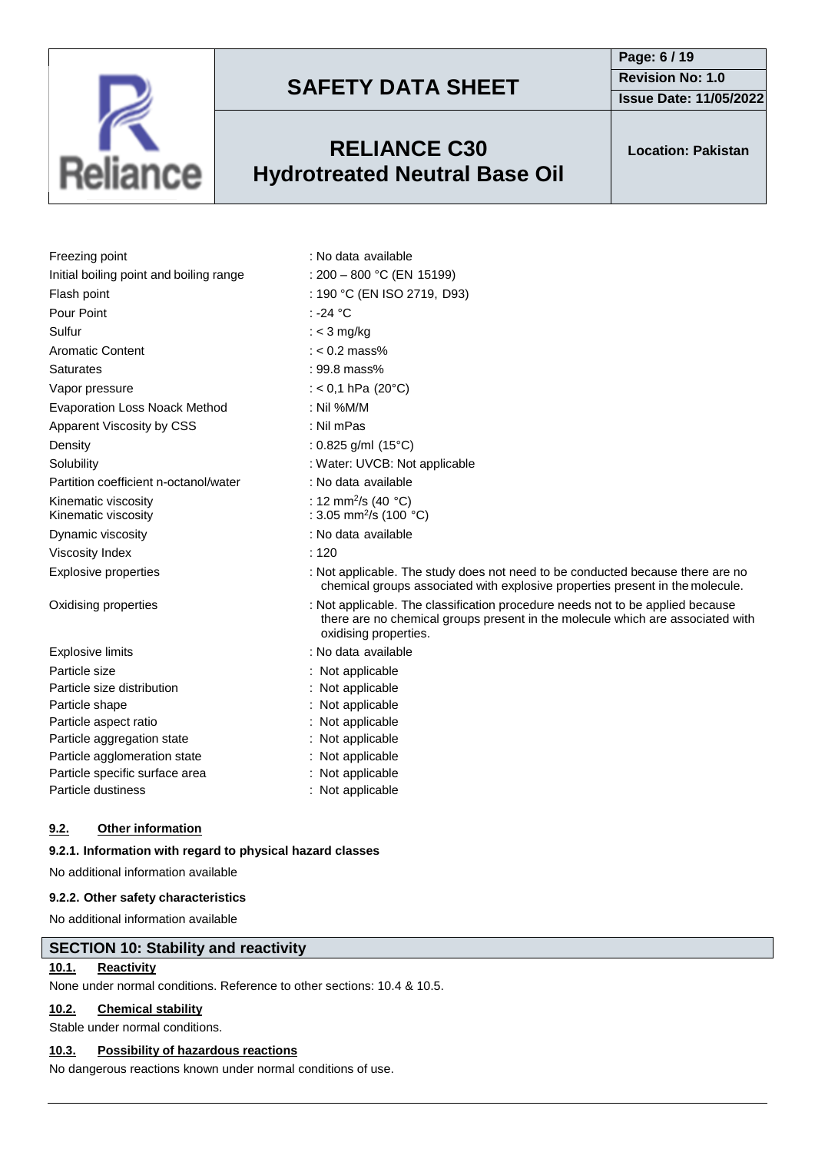

## **RELIANCE C30 Hydrotreated Neutral Base Oil**

**Issue Date: 11/05/2022**

**Location: Pakistan**

|                                         | : No data available         |  |
|-----------------------------------------|-----------------------------|--|
| Freezing point                          |                             |  |
| Initial boiling point and boiling range | : $200 - 800$ °C (EN 15199) |  |
| Flash point                             | : 190 °C (EN ISO 2719, D93) |  |
| Pour Point                              | : -24 °C                    |  |
| Sulfur                                  | : $<$ 3 mg/kg               |  |
| Aromatic Content                        | : $< 0.2$ mass%             |  |
| <b>Saturates</b>                        | $: 99.8$ mass%              |  |
| Vapor pressure                          | : $< 0.1$ hPa (20 °C)       |  |
| <b>Evaporation Loss Noack Method</b>    | : Nil % $M/M$               |  |

chemical groups associated with explosive properties present in the molecule.

there are no chemical groups present in the molecule which are associated with

: 12 mm<sup>2</sup>/s (40  $^{\circ}$ C)

:  $3.05$  mm<sup>2</sup>/s (100 °C)

- Vapor pressure Evaporation Loss
- Apparent Viscosity by CSS : Nil mPas
- Density : 0.825 g/ml (15°C)

- Solubility : Water: UVCB: Not applicable
- Partition coefficient n-octanol/water : No data available
- Kinematic viscosity
- Kinematic viscosity Dynamic viscosity **in the set of the COV**: No data available
- Viscosity Index : 120
- Explosive properties : Not applicable. The study does not need to be conducted because there are no

Oxidising properties : Not applicable. The classification procedure needs not to be applied because

|                                | oxidising properties. |
|--------------------------------|-----------------------|
| Explosive limits               | : No data available   |
| Particle size                  | : Not applicable      |
| Particle size distribution     | : Not applicable      |
| Particle shape                 | $:$ Not applicable    |
| Particle aspect ratio          | : Not applicable      |
| Particle aggregation state     | : Not applicable      |
| Particle agglomeration state   | : Not applicable      |
| Particle specific surface area | : Not applicable      |
| Particle dustiness             | : Not applicable      |
|                                |                       |

### **9.2. Other information**

### **9.2.1. Information with regard to physical hazard classes**

No additional information available

#### **9.2.2. Other safety characteristics**

No additional information available

### **SECTION 10: Stability and reactivity**

### **10.1. Reactivity**

None under normal conditions. Reference to other sections: 10.4 & 10.5.

### **10.2. Chemical stability**

Stable under normal conditions.

#### **10.3. Possibility of hazardous reactions**

No dangerous reactions known under normal conditions of use.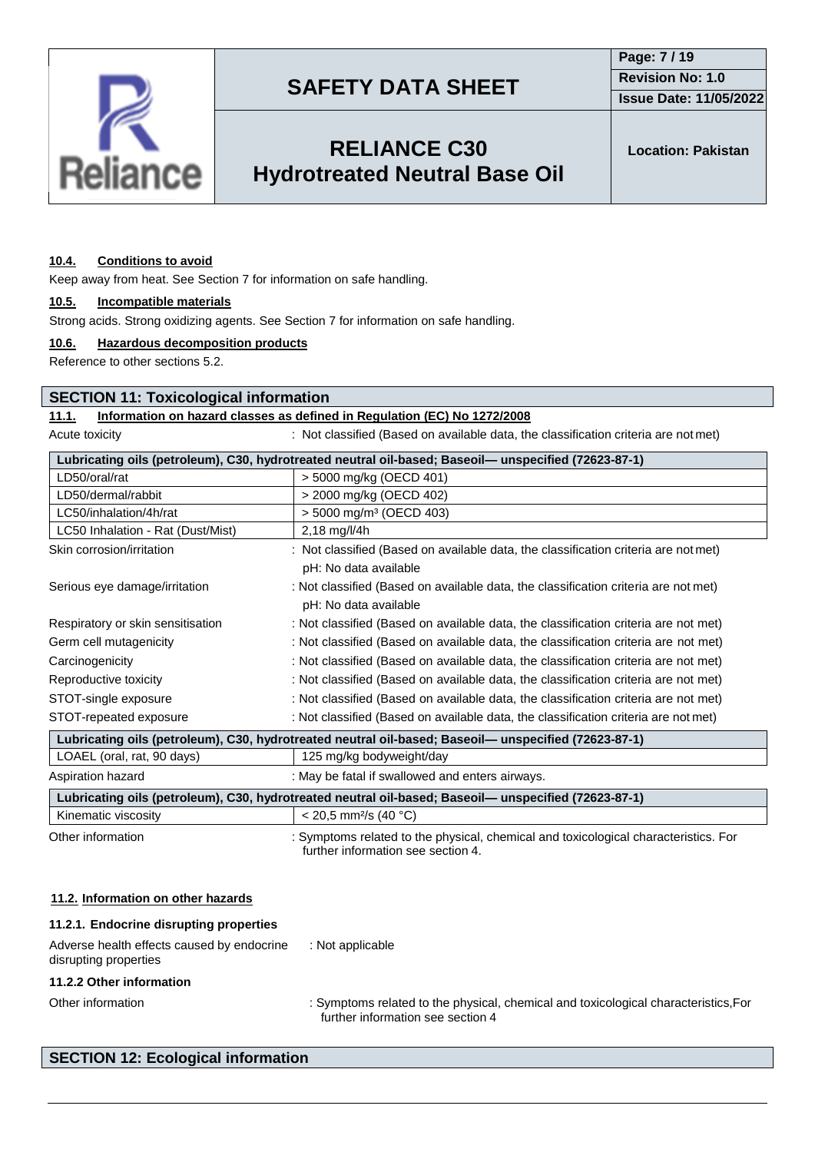

**Issue Date: 11/05/2022**

## **RELIANCE C30 Hydrotreated Neutral Base Oil**

**Location: Pakistan**

#### **10.4. Conditions to avoid**

Keep away from heat. See Section 7 for information on safe handling.

#### **10.5. Incompatible materials**

Strong acids. Strong oxidizing agents. See Section 7 for information on safe handling.

#### **10.6. Hazardous decomposition products**

Reference to other sections 5.2.

#### **SECTION 11: Toxicological information**

### **11.1. Information on hazard classes as defined in Regulation (EC) No 1272/2008**

Acute toxicity **interval on a set of classified (Based on available data, the classification criteria are not met)** 

| Lubricating oils (petroleum), C30, hydrotreated neutral oil-based; Baseoil— unspecified (72623-87-1) |                                                                                                              |  |
|------------------------------------------------------------------------------------------------------|--------------------------------------------------------------------------------------------------------------|--|
| LD50/oral/rat                                                                                        | > 5000 mg/kg (OECD 401)                                                                                      |  |
| LD50/dermal/rabbit                                                                                   | > 2000 mg/kg (OECD 402)                                                                                      |  |
| LC50/inhalation/4h/rat                                                                               | $>$ 5000 mg/m <sup>3</sup> (OECD 403)                                                                        |  |
| LC50 Inhalation - Rat (Dust/Mist)                                                                    | 2,18 mg/l/4h                                                                                                 |  |
| Skin corrosion/irritation                                                                            | : Not classified (Based on available data, the classification criteria are not met)<br>pH: No data available |  |
| Serious eye damage/irritation                                                                        | : Not classified (Based on available data, the classification criteria are not met)<br>pH: No data available |  |
| Respiratory or skin sensitisation                                                                    | : Not classified (Based on available data, the classification criteria are not met)                          |  |
| Germ cell mutagenicity                                                                               | : Not classified (Based on available data, the classification criteria are not met)                          |  |
| Carcinogenicity                                                                                      | : Not classified (Based on available data, the classification criteria are not met)                          |  |
| Reproductive toxicity                                                                                | : Not classified (Based on available data, the classification criteria are not met)                          |  |
| STOT-single exposure                                                                                 | : Not classified (Based on available data, the classification criteria are not met)                          |  |
| STOT-repeated exposure                                                                               | : Not classified (Based on available data, the classification criteria are not met)                          |  |
| Lubricating oils (petroleum), C30, hydrotreated neutral oil-based; Baseoil- unspecified (72623-87-1) |                                                                                                              |  |
| LOAEL (oral, rat, 90 days)                                                                           | 125 mg/kg bodyweight/day                                                                                     |  |
| Aspiration hazard                                                                                    | : May be fatal if swallowed and enters airways.                                                              |  |
| Lubricating oils (petroleum), C30, hydrotreated neutral oil-based; Baseoil— unspecified (72623-87-1) |                                                                                                              |  |
| Kinematic viscosity                                                                                  | $<$ 20.5 mm <sup>2</sup> /s (40 °C)                                                                          |  |

Other information : Symptoms related to the physical, chemical and toxicological characteristics. For further information see section 4.

#### **11.2. Information on other hazards**

| Adverse health effects caused by endocrine<br>disrupting properties | : Not applicable                                                                                                         |
|---------------------------------------------------------------------|--------------------------------------------------------------------------------------------------------------------------|
| 11.2.2 Other information                                            |                                                                                                                          |
| Other information                                                   | : Symptoms related to the physical, chemical and toxicological characteristics, For<br>further information see section 4 |

### **SECTION 12: Ecological information**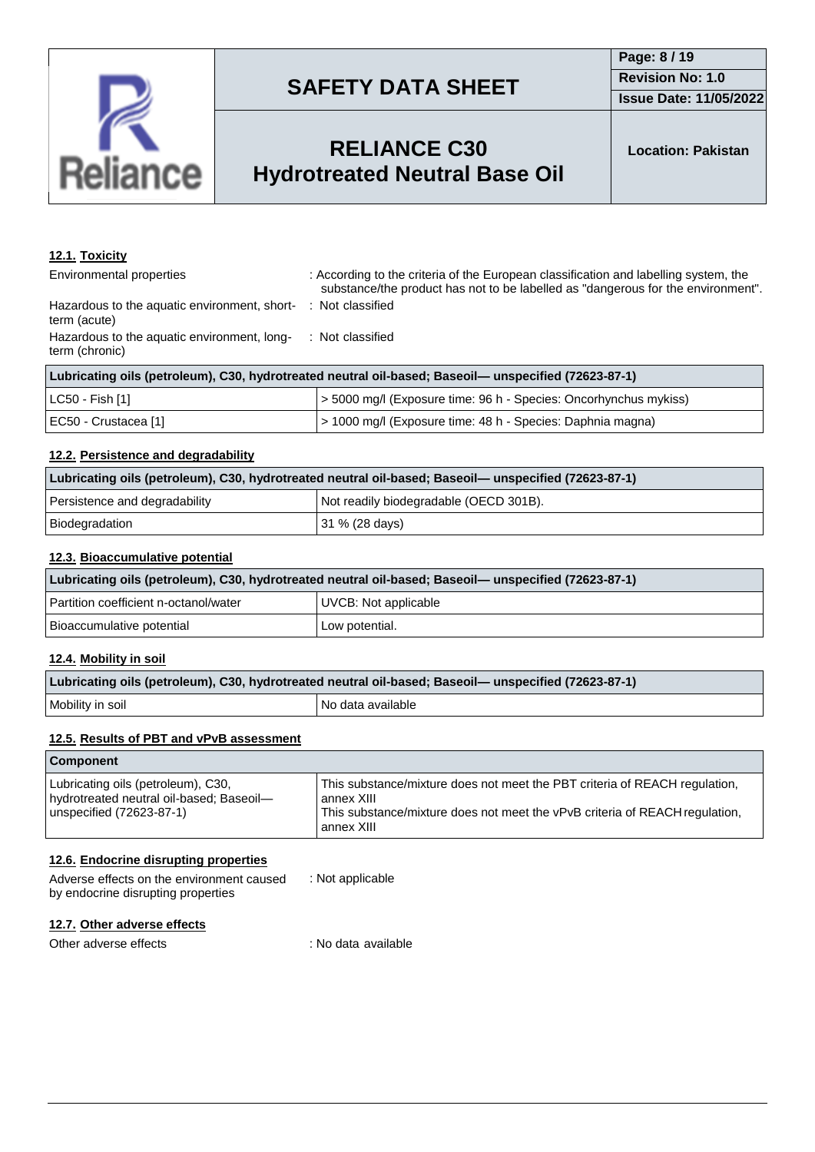

## **RELIANCE C30 Hydrotreated Neutral Base Oil**

### **12.1. Toxicity**

term (chronic)

| Environmental properties                     | : According to the criteria of the European classification and labelling system, the |
|----------------------------------------------|--------------------------------------------------------------------------------------|
|                                              | substance/the product has not to be labelled as "dangerous for the environmer        |
| Hazardous to the aguatic environment, short- | : Not classified                                                                     |

term (acute) Hazardous to the aquatic environment, long-: Not classified

| Lubricating oils (petroleum), C30, hydrotreated neutral oil-based; Baseoil— unspecified (72623-87-1) |                                                                  |  |
|------------------------------------------------------------------------------------------------------|------------------------------------------------------------------|--|
| LC50 - Fish [1]                                                                                      | > 5000 mg/l (Exposure time: 96 h - Species: Oncorhynchus mykiss) |  |
| EC50 - Crustacea [1]                                                                                 | > 1000 mg/l (Exposure time: 48 h - Species: Daphnia magna)       |  |

### **12.2. Persistence and degradability**

| Lubricating oils (petroleum), C30, hydrotreated neutral oil-based; Baseoil— unspecified (72623-87-1) |                                        |  |
|------------------------------------------------------------------------------------------------------|----------------------------------------|--|
| Persistence and degradability                                                                        | Not readily biodegradable (OECD 301B). |  |
| Biodegradation                                                                                       | 31 % (28 days)                         |  |

#### **12.3. Bioaccumulative potential**

| Lubricating oils (petroleum), C30, hydrotreated neutral oil-based; Baseoil— unspecified (72623-87-1) |                      |  |
|------------------------------------------------------------------------------------------------------|----------------------|--|
| Partition coefficient n-octanol/water                                                                | UVCB: Not applicable |  |
| Bioaccumulative potential                                                                            | Low potential.       |  |

#### **12.4. Mobility in soil**

| Lubricating oils (petroleum), C30, hydrotreated neutral oil-based; Baseoil— unspecified (72623-87-1) |                   |  |
|------------------------------------------------------------------------------------------------------|-------------------|--|
| Mobility in soil                                                                                     | No data available |  |

#### **12.5. Results of PBT and vPvB assessment**

| <b>Component</b>                                                                                           |                                                                                                                                                                                       |
|------------------------------------------------------------------------------------------------------------|---------------------------------------------------------------------------------------------------------------------------------------------------------------------------------------|
| Lubricating oils (petroleum), C30,<br>hydrotreated neutral oil-based; Baseoil-<br>unspecified (72623-87-1) | This substance/mixture does not meet the PBT criteria of REACH regulation,<br>annex XIII<br>This substance/mixture does not meet the vPvB criteria of REACH regulation,<br>annex XIII |

#### **12.6. Endocrine disrupting properties**

| Adverse effects on the environment caused | : Not applicable |
|-------------------------------------------|------------------|
| by endocrine disrupting properties        |                  |

### **12.7. Other adverse effects**

Other adverse effects : No data available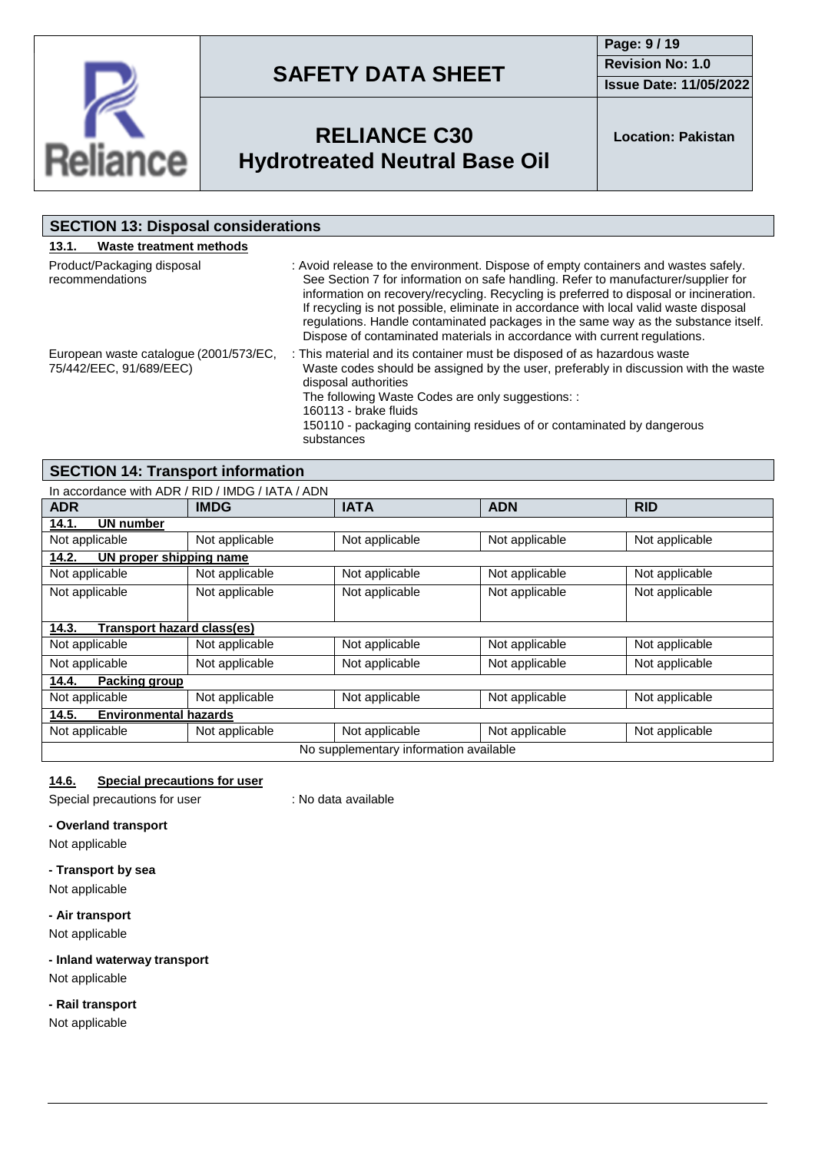

**Page: 9 / 19 Revision No: 1.0 Issue Date: 11/05/2022**



## **RELIANCE C30 Hydrotreated Neutral Base Oil**

**Location: Pakistan**

| <b>SECTION 13: Disposal considerations</b>                        |                                                                                                                                                                                                                                                                                                                                                                                                                                                                                                                                |
|-------------------------------------------------------------------|--------------------------------------------------------------------------------------------------------------------------------------------------------------------------------------------------------------------------------------------------------------------------------------------------------------------------------------------------------------------------------------------------------------------------------------------------------------------------------------------------------------------------------|
| Waste treatment methods<br>13.1.                                  |                                                                                                                                                                                                                                                                                                                                                                                                                                                                                                                                |
| Product/Packaging disposal<br>recommendations                     | : Avoid release to the environment. Dispose of empty containers and wastes safely.<br>See Section 7 for information on safe handling. Refer to manufacturer/supplier for<br>information on recovery/recycling. Recycling is preferred to disposal or incineration.<br>If recycling is not possible, eliminate in accordance with local valid waste disposal<br>regulations. Handle contaminated packages in the same way as the substance itself.<br>Dispose of contaminated materials in accordance with current regulations. |
| European waste catalogue (2001/573/EC,<br>75/442/EEC, 91/689/EEC) | : This material and its container must be disposed of as hazardous waste<br>Waste codes should be assigned by the user, preferably in discussion with the waste<br>disposal authorities<br>The following Waste Codes are only suggestions: :<br>160113 - brake fluids<br>150110 - packaging containing residues of or contaminated by dangerous<br>substances                                                                                                                                                                  |

### **SECTION 14: Transport information**

|                                            | In accordance with ADR / RID / IMDG / IATA / ADN |                                        |                |                |
|--------------------------------------------|--------------------------------------------------|----------------------------------------|----------------|----------------|
| <b>ADR</b>                                 | <b>IMDG</b>                                      | <b>IATA</b>                            | <b>ADN</b>     | <b>RID</b>     |
| 14.1.<br><b>UN number</b>                  |                                                  |                                        |                |                |
| Not applicable                             | Not applicable                                   | Not applicable                         | Not applicable | Not applicable |
| 14.2.<br>UN proper shipping name           |                                                  |                                        |                |                |
| Not applicable                             | Not applicable                                   | Not applicable                         | Not applicable | Not applicable |
| Not applicable                             | Not applicable                                   | Not applicable                         | Not applicable | Not applicable |
|                                            |                                                  |                                        |                |                |
| <b>Transport hazard class(es)</b><br>14.3. |                                                  |                                        |                |                |
| Not applicable                             | Not applicable                                   | Not applicable                         | Not applicable | Not applicable |
| Not applicable                             | Not applicable                                   | Not applicable                         | Not applicable | Not applicable |
| 14.4.<br>Packing group                     |                                                  |                                        |                |                |
| Not applicable                             | Not applicable                                   | Not applicable                         | Not applicable | Not applicable |
| <b>Environmental hazards</b><br>14.5.      |                                                  |                                        |                |                |
| Not applicable                             | Not applicable                                   | Not applicable                         | Not applicable | Not applicable |
|                                            |                                                  | No supplementary information available |                |                |

### **14.6. Special precautions for user**

Special precautions for user : No data available

#### **- Overland transport**

Not applicable

#### **- Transport by sea**

Not applicable

#### **- Air transport**

Not applicable

### **- Inland waterway transport** Not applicable

### **- Rail transport**

Not applicable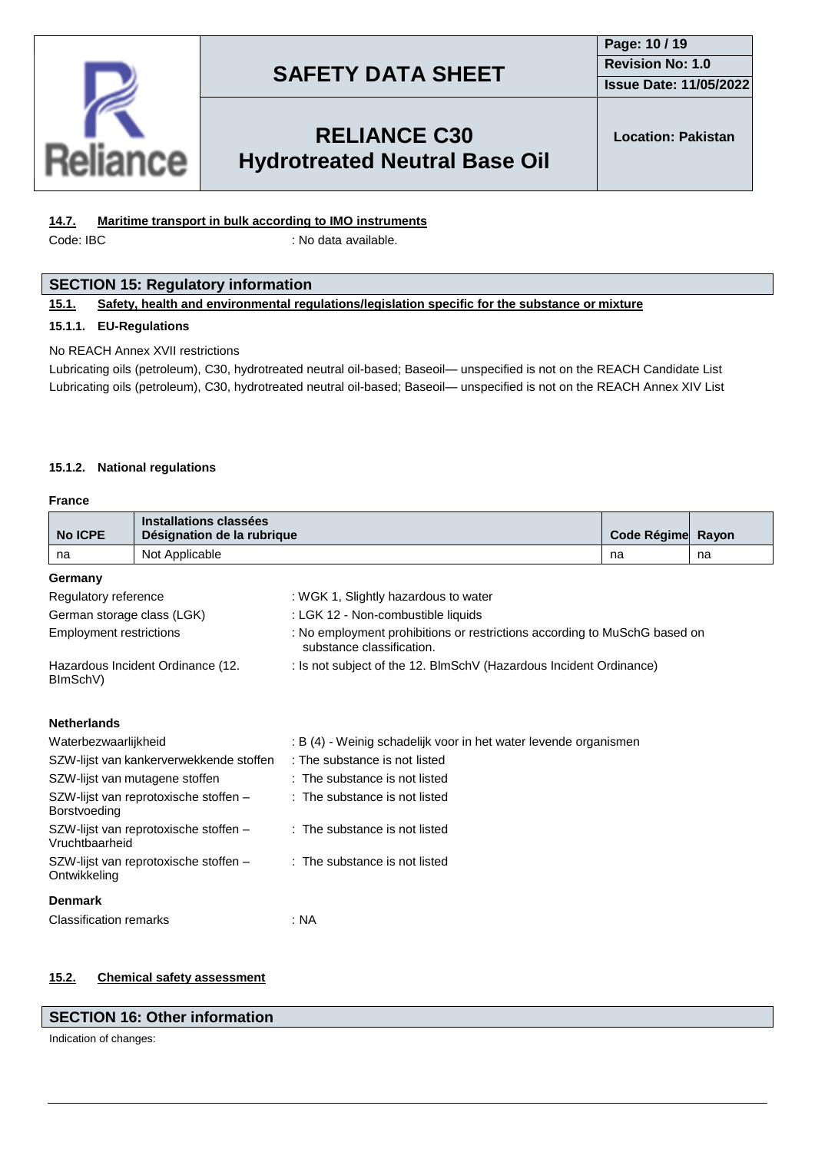

### **Page: 10 / 19 Revision No: 1.0 Issue Date: 11/05/2022**

## **RELIANCE C30 Hydrotreated Neutral Base Oil**

### **14.7. Maritime transport in bulk according to IMO instruments**

Code: IBC : No data available.

### **SECTION 15: Regulatory information**

#### **15.1. Safety, health and environmental regulations/legislation specific for the substance or mixture**

#### **15.1.1. EU-Regulations**

#### No REACH Annex XVII restrictions

Lubricating oils (petroleum), C30, hydrotreated neutral oil-based; Baseoil— unspecified is not on the REACH Candidate List Lubricating oils (petroleum), C30, hydrotreated neutral oil-based; Baseoil— unspecified is not on the REACH Annex XIV List

#### **15.1.2. National regulations**

#### **France**

| <b>No ICPE</b>                                                                           | <b>Installations classées</b><br>Désignation de la rubrique |                                                                                                        | Code Régime Rayon |    |  |
|------------------------------------------------------------------------------------------|-------------------------------------------------------------|--------------------------------------------------------------------------------------------------------|-------------------|----|--|
| na                                                                                       | Not Applicable                                              |                                                                                                        | na                | na |  |
| Germany                                                                                  |                                                             |                                                                                                        |                   |    |  |
| Regulatory reference                                                                     |                                                             | : WGK 1, Slightly hazardous to water                                                                   |                   |    |  |
| German storage class (LGK)                                                               |                                                             | : LGK 12 - Non-combustible liquids                                                                     |                   |    |  |
| <b>Employment restrictions</b>                                                           |                                                             | : No employment prohibitions or restrictions according to MuSchG based on<br>substance classification. |                   |    |  |
| BImSchV)                                                                                 | Hazardous Incident Ordinance (12.                           | : Is not subject of the 12. BlmSchV (Hazardous Incident Ordinance)                                     |                   |    |  |
| <b>Netherlands</b>                                                                       |                                                             |                                                                                                        |                   |    |  |
| Waterbezwaarlijkheid                                                                     |                                                             | : B (4) - Weinig schadelijk voor in het water levende organismen                                       |                   |    |  |
|                                                                                          | SZW-lijst van kankerverwekkende stoffen                     | : The substance is not listed                                                                          |                   |    |  |
| SZW-lijst van mutagene stoffen                                                           |                                                             | : The substance is not listed                                                                          |                   |    |  |
| SZW-lijst van reprotoxische stoffen -<br>Borstvoeding                                    |                                                             | : The substance is not listed                                                                          |                   |    |  |
| : The substance is not listed<br>SZW-lijst van reprotoxische stoffen -<br>Vruchtbaarheid |                                                             |                                                                                                        |                   |    |  |
| Ontwikkeling                                                                             | SZW-lijst van reprotoxische stoffen -                       | : The substance is not listed                                                                          |                   |    |  |
| <b>Denmark</b>                                                                           |                                                             |                                                                                                        |                   |    |  |
| <b>Classification remarks</b>                                                            |                                                             | : NA                                                                                                   |                   |    |  |

#### **15.2. Chemical safety assessment**

#### **SECTION 16: Other information**

Indication of changes: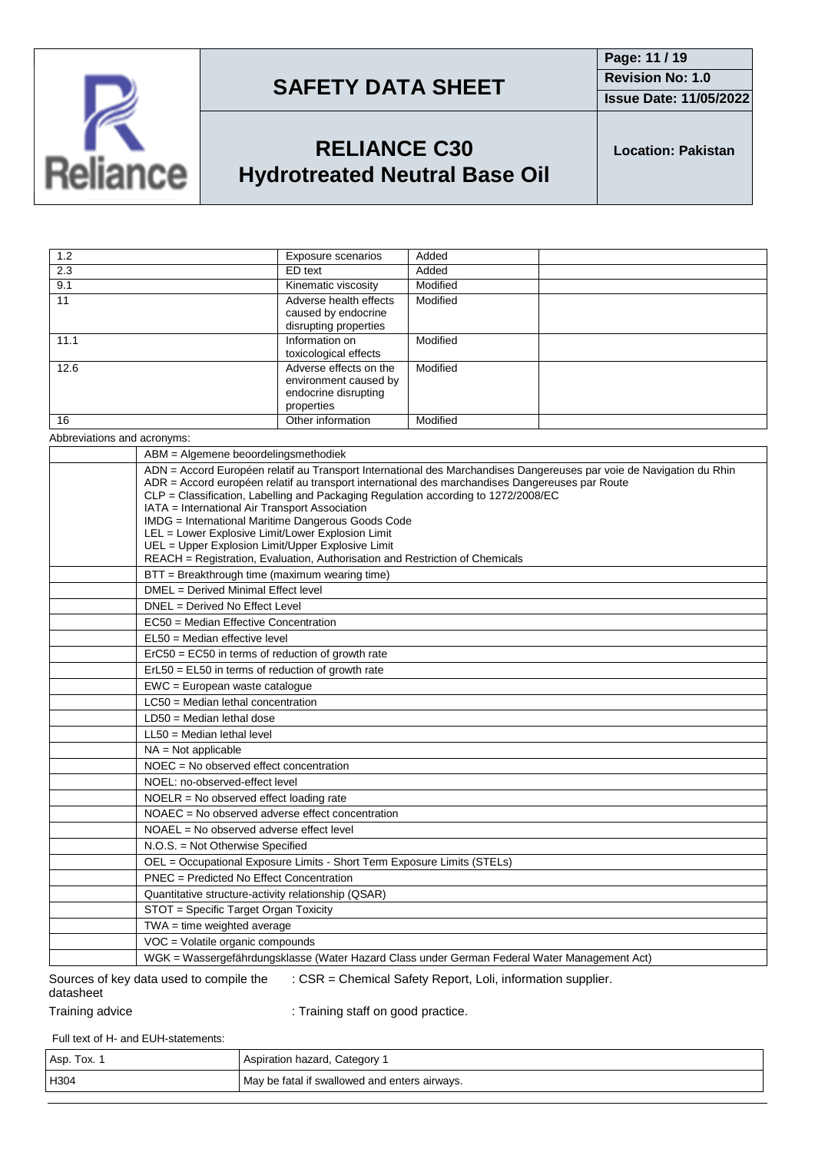

**Page: 11 / 19 Revision No: 1.0 Issue Date: 11/05/2022**

## **RELIANCE C30 Hydrotreated Neutral Base Oil**

**Location: Pakistan**

| 1.2  | Exposure scenarios                                                                    | Added    |
|------|---------------------------------------------------------------------------------------|----------|
| 2.3  | ED text                                                                               | Added    |
| 9.1  | Kinematic viscosity                                                                   | Modified |
| 11   | Adverse health effects<br>caused by endocrine<br>disrupting properties                | Modified |
| 11.1 | Information on<br>toxicological effects                                               | Modified |
| 12.6 | Adverse effects on the<br>environment caused by<br>endocrine disrupting<br>properties | Modified |
| 16   | Other information                                                                     | Modified |

Abbreviations and acronyms:

| ABM = Algemene beoordelingsmethodiek                                                                                                                                                                                                                                                                          |
|---------------------------------------------------------------------------------------------------------------------------------------------------------------------------------------------------------------------------------------------------------------------------------------------------------------|
| ADN = Accord Européen relatif au Transport International des Marchandises Dangereuses par voie de Navigation du Rhin<br>ADR = Accord européen relatif au transport international des marchandises Dangereuses par Route<br>CLP = Classification, Labelling and Packaging Regulation according to 1272/2008/EC |
| IATA = International Air Transport Association                                                                                                                                                                                                                                                                |
| IMDG = International Maritime Dangerous Goods Code                                                                                                                                                                                                                                                            |
| LEL = Lower Explosive Limit/Lower Explosion Limit<br>UEL = Upper Explosion Limit/Upper Explosive Limit                                                                                                                                                                                                        |
| REACH = Registration, Evaluation, Authorisation and Restriction of Chemicals                                                                                                                                                                                                                                  |
| BTT = Breakthrough time (maximum wearing time)                                                                                                                                                                                                                                                                |
| DMEL = Derived Minimal Effect level                                                                                                                                                                                                                                                                           |
| DNEL = Derived No Effect Level                                                                                                                                                                                                                                                                                |
| EC50 = Median Effective Concentration                                                                                                                                                                                                                                                                         |
| EL50 = Median effective level                                                                                                                                                                                                                                                                                 |
| $E0CO = E0CO$ in terms of reduction of growth rate                                                                                                                                                                                                                                                            |
| $ErL50 = EL50$ in terms of reduction of growth rate                                                                                                                                                                                                                                                           |
| EWC = European waste catalogue                                                                                                                                                                                                                                                                                |
| $LC50$ = Median lethal concentration                                                                                                                                                                                                                                                                          |
| $LD50 = Median$ lethal dose                                                                                                                                                                                                                                                                                   |
| $LL50 = Median$ lethal level                                                                                                                                                                                                                                                                                  |
| $NA = Not applicable$                                                                                                                                                                                                                                                                                         |
| NOEC = No observed effect concentration                                                                                                                                                                                                                                                                       |
| NOEL: no-observed-effect level                                                                                                                                                                                                                                                                                |
| NOELR = No observed effect loading rate                                                                                                                                                                                                                                                                       |
| NOAEC = No observed adverse effect concentration                                                                                                                                                                                                                                                              |
| $NOAEL = No observed adverse effect level$                                                                                                                                                                                                                                                                    |
| N.O.S. = Not Otherwise Specified                                                                                                                                                                                                                                                                              |
| OEL = Occupational Exposure Limits - Short Term Exposure Limits (STELs)                                                                                                                                                                                                                                       |
| PNEC = Predicted No Effect Concentration                                                                                                                                                                                                                                                                      |
| Quantitative structure-activity relationship (QSAR)                                                                                                                                                                                                                                                           |
| STOT = Specific Target Organ Toxicity                                                                                                                                                                                                                                                                         |
| $TWA = time weighted average$                                                                                                                                                                                                                                                                                 |
| VOC = Volatile organic compounds                                                                                                                                                                                                                                                                              |
| WGK = Wassergefährdungsklasse (Water Hazard Class under German Federal Water Management Act)                                                                                                                                                                                                                  |
| : CSR = Chemical Safety Report, Loli, information supplier.<br>Sources of key data used to compile the                                                                                                                                                                                                        |

| Sources of key data used to compile the | : CSR = Chemical Safety Report, Loli, information |
|-----------------------------------------|---------------------------------------------------|
| datasheet                               |                                                   |

Training advice **in the state of the Contract of Training staff on good practice.** 

Full text of H- and EUH-statements:

| Asp. Tox. | Aspiration hazard, Category 1                 |
|-----------|-----------------------------------------------|
| H304      | May be fatal if swallowed and enters airways. |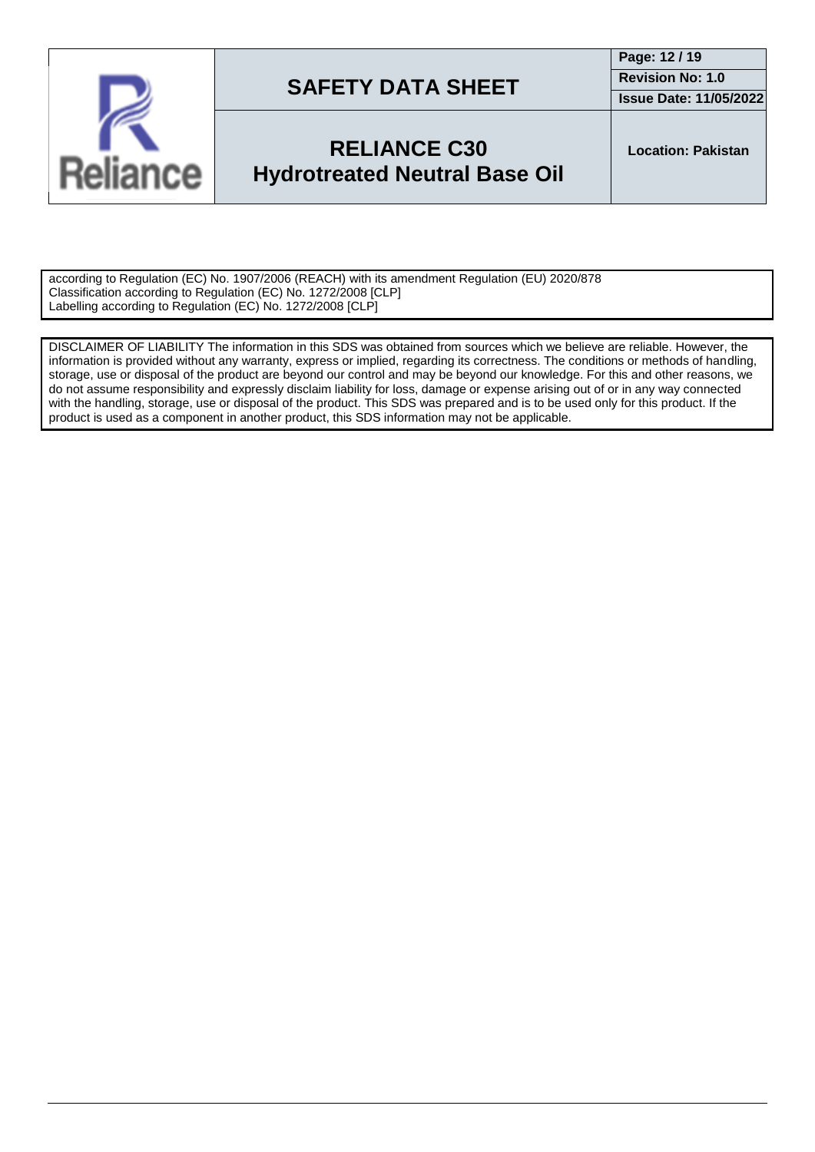

**Page: 12 / 19 Revision No: 1.0**

**Issue Date: 11/05/2022**

## **RELIANCE C30 Hydrotreated Neutral Base Oil**

**Location: Pakistan**

according to Regulation (EC) No. 1907/2006 (REACH) with its amendment Regulation (EU) 2020/878 Classification according to Regulation (EC) No. 1272/2008 [CLP] Labelling according to Regulation (EC) No. 1272/2008 [CLP]

DISCLAIMER OF LIABILITY The information in this SDS was obtained from sources which we believe are reliable. However, the information is provided without any warranty, express or implied, regarding its correctness. The conditions or methods of handling, storage, use or disposal of the product are beyond our control and may be beyond our knowledge. For this and other reasons, we do not assume responsibility and expressly disclaim liability for loss, damage or expense arising out of or in any way connected with the handling, storage, use or disposal of the product. This SDS was prepared and is to be used only for this product. If the product is used as a component in another product, this SDS information may not be applicable.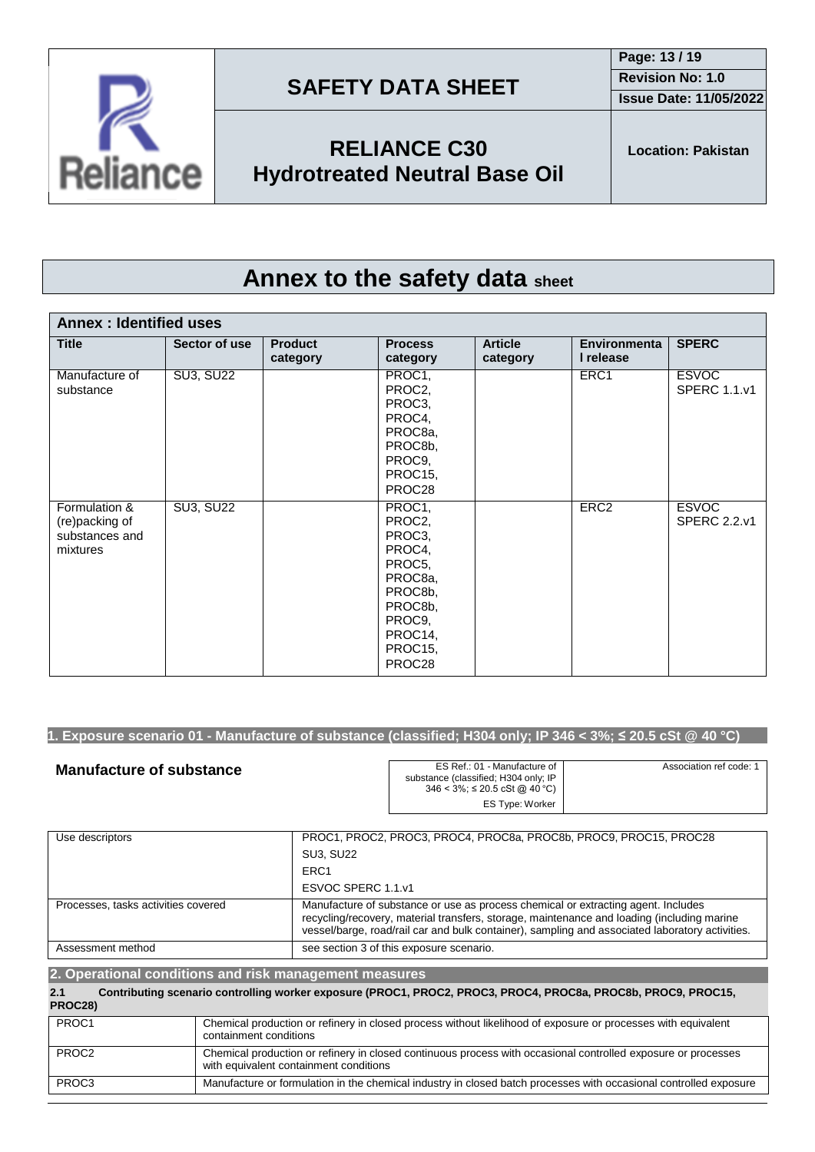



**RELIANCE C30 Hydrotreated Neutral Base Oil**

## **Annex to the safety data sheet**

| <b>Annex: Identified uses</b>                                 |                  |                            |                                                                                                                           |                            |                                  |                                     |
|---------------------------------------------------------------|------------------|----------------------------|---------------------------------------------------------------------------------------------------------------------------|----------------------------|----------------------------------|-------------------------------------|
| <b>Title</b>                                                  | Sector of use    | <b>Product</b><br>category | <b>Process</b><br>category                                                                                                | <b>Article</b><br>category | <b>Environmenta</b><br>I release | <b>SPERC</b>                        |
| Manufacture of<br>substance                                   | <b>SU3, SU22</b> |                            | PROC1,<br>PROC2,<br>PROC3,<br>PROC4,<br>PROC8a,<br>PROC8b,<br>PROC9,<br>PROC15,<br>PROC28                                 |                            | ERC1                             | <b>ESVOC</b><br><b>SPERC 1.1.v1</b> |
| Formulation &<br>(re)packing of<br>substances and<br>mixtures | <b>SU3, SU22</b> |                            | PROC1,<br>PROC2,<br>PROC3,<br>PROC4,<br>PROC5,<br>PROC8a,<br>PROC8b,<br>PROC8b,<br>PROC9.<br>PROC14,<br>PROC15,<br>PROC28 |                            | ERC <sub>2</sub>                 | <b>ESVOC</b><br><b>SPERC 2.2.v1</b> |

### 1. Exposure scenario 01 - Manufacture of substance (classified; H304 only; IP 346 < 3%;  $\leq$  20.5 cSt @ 40 °C)

| <b>Manufacture of substance</b> | ES Ref.: 01 - Manufacture of<br>substance (classified; H304 only; IP<br>$346 < 3\%$ ; ≤ 20.5 cSt @ 40 °C) | Association ref code: 1 |
|---------------------------------|-----------------------------------------------------------------------------------------------------------|-------------------------|
|                                 | ES Type: Worker                                                                                           |                         |

| Use descriptors                     | PROC1, PROC2, PROC3, PROC4, PROC8a, PROC8b, PROC9, PROC15, PROC28                                                                                                                                                                                                                  |
|-------------------------------------|------------------------------------------------------------------------------------------------------------------------------------------------------------------------------------------------------------------------------------------------------------------------------------|
|                                     | <b>SU3, SU22</b>                                                                                                                                                                                                                                                                   |
|                                     | ERC <sub>1</sub>                                                                                                                                                                                                                                                                   |
|                                     | ESVOC SPERC 1.1.v1                                                                                                                                                                                                                                                                 |
| Processes, tasks activities covered | Manufacture of substance or use as process chemical or extracting agent. Includes<br>recycling/recovery, material transfers, storage, maintenance and loading (including marine<br>vessel/barge, road/rail car and bulk container), sampling and associated laboratory activities. |
| Assessment method                   | see section 3 of this exposure scenario.                                                                                                                                                                                                                                           |

#### **2. Operational conditions and risk management measures 2.1 Contributing scenario controlling worker exposure (PROC1, PROC2, PROC3, PROC4, PROC8a, PROC8b, PROC9, PROC15, PROC28)** PROC1 Chemical production or refinery in closed process without likelihood of exposure or processes with equivalent containment conditions PROC2 Chemical production or refinery in closed continuous process with occasional controlled exposure or processes with equivalent containment conditions PROC3 Manufacture or formulation in the chemical industry in closed batch processes with occasional controlled exposure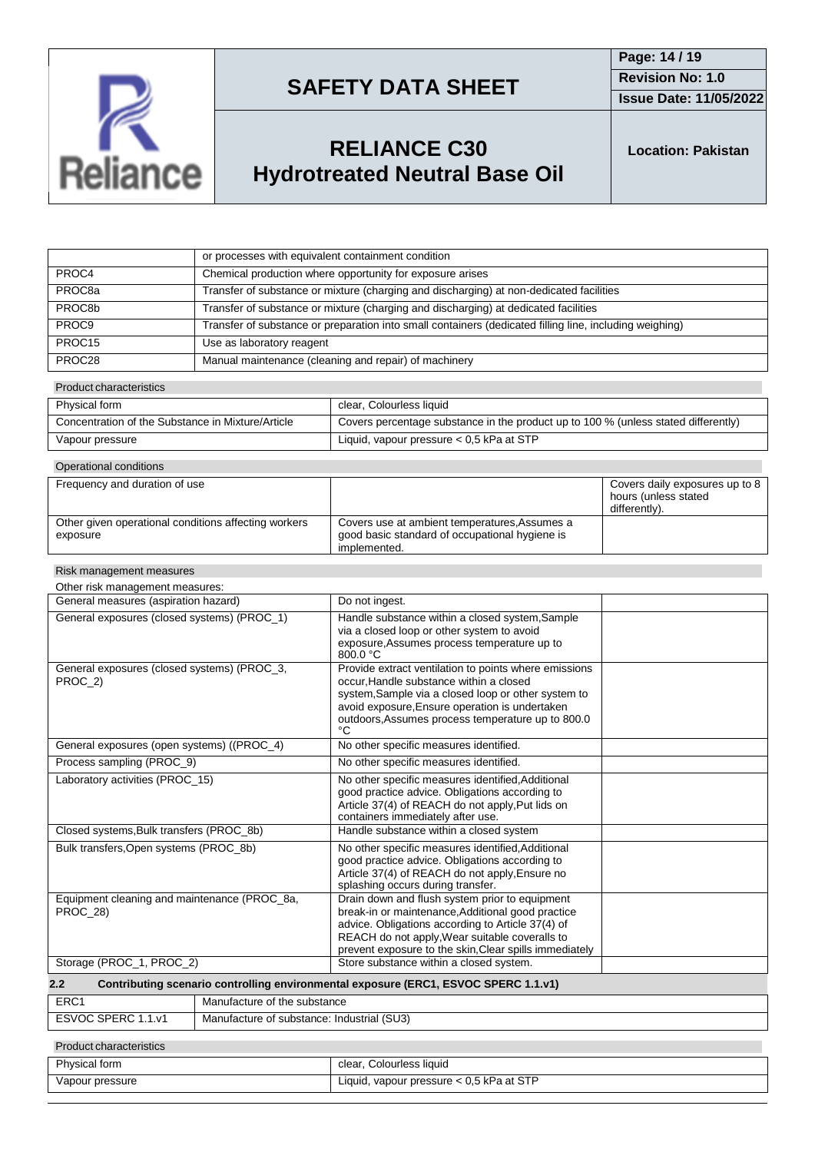

**Issue Date: 11/05/2022**

## **RELIANCE C30 Hydrotreated Neutral Base Oil**

**Location: Pakistan**

|                    | or processes with equivalent containment condition                                                      |
|--------------------|---------------------------------------------------------------------------------------------------------|
| PROC4              | Chemical production where opportunity for exposure arises                                               |
| PROC <sub>8a</sub> | Transfer of substance or mixture (charging and discharging) at non-dedicated facilities                 |
| PROC8b             | Transfer of substance or mixture (charging and discharging) at dedicated facilities                     |
| PROC9              | Transfer of substance or preparation into small containers (dedicated filling line, including weighing) |
| PROC <sub>15</sub> | Use as laboratory reagent                                                                               |
| PROC28             | Manual maintenance (cleaning and repair) of machinery                                                   |

#### Product characteristics

| Physical form                                     | clear, Colourless liquid                                                           |
|---------------------------------------------------|------------------------------------------------------------------------------------|
| Concentration of the Substance in Mixture/Article | Covers percentage substance in the product up to 100 % (unless stated differently) |
| Vapour pressure                                   | Liquid, vapour pressure $< 0.5$ kPa at STP                                         |

| Operational conditions                                           |                                                                                                                 |                                                                         |
|------------------------------------------------------------------|-----------------------------------------------------------------------------------------------------------------|-------------------------------------------------------------------------|
| Frequency and duration of use                                    |                                                                                                                 | Covers daily exposures up to 8<br>hours (unless stated<br>differently). |
| Other given operational conditions affecting workers<br>exposure | Covers use at ambient temperatures. Assumes a<br>good basic standard of occupational hygiene is<br>implemented. |                                                                         |

#### Risk management measures

| Other risk management measures: |
|---------------------------------|
|---------------------------------|

| General measures (aspiration hazard)                                                       | Do not ingest.                                                                                                                                                                                                                                                       |  |
|--------------------------------------------------------------------------------------------|----------------------------------------------------------------------------------------------------------------------------------------------------------------------------------------------------------------------------------------------------------------------|--|
| General exposures (closed systems) (PROC_1)                                                | Handle substance within a closed system, Sample<br>via a closed loop or other system to avoid<br>exposure, Assumes process temperature up to<br>800.0 °C                                                                                                             |  |
| General exposures (closed systems) (PROC 3,<br>PROC_2)                                     | Provide extract ventilation to points where emissions<br>occur. Handle substance within a closed<br>system, Sample via a closed loop or other system to<br>avoid exposure, Ensure operation is undertaken<br>outdoors, Assumes process temperature up to 800.0<br>°C |  |
| General exposures (open systems) ((PROC_4)                                                 | No other specific measures identified.                                                                                                                                                                                                                               |  |
| Process sampling (PROC 9)                                                                  | No other specific measures identified.                                                                                                                                                                                                                               |  |
| Laboratory activities (PROC 15)                                                            | No other specific measures identified, Additional<br>good practice advice. Obligations according to<br>Article 37(4) of REACH do not apply, Put lids on<br>containers immediately after use.                                                                         |  |
| Closed systems, Bulk transfers (PROC_8b)                                                   | Handle substance within a closed system                                                                                                                                                                                                                              |  |
| Bulk transfers, Open systems (PROC_8b)                                                     | No other specific measures identified, Additional<br>good practice advice. Obligations according to<br>Article 37(4) of REACH do not apply, Ensure no<br>splashing occurs during transfer.                                                                           |  |
| Equipment cleaning and maintenance (PROC_8a,<br>PROC 28)                                   | Drain down and flush system prior to equipment<br>break-in or maintenance, Additional good practice<br>advice. Obligations according to Article 37(4) of<br>REACH do not apply, Wear suitable coveralls to<br>prevent exposure to the skin, Clear spills immediately |  |
| Storage (PROC_1, PROC_2)                                                                   | Store substance within a closed system.                                                                                                                                                                                                                              |  |
| Contributing scenario controlling environmental exposure (ERC1, ESVOC SPERC 1.1.v1)<br>2.2 |                                                                                                                                                                                                                                                                      |  |
| ED <sub>C</sub> 1<br>Monufacture of the qubetance                                          |                                                                                                                                                                                                                                                                      |  |

| ERC <sup>2</sup> | : substance<br>iutacture of the            |
|------------------|--------------------------------------------|
| <b>CDEDA</b>     | Manufacture of substance: Industrial (SU3) |
|                  |                                            |

#### Product characteristics

| Physical form   | , Colourless liquid<br>clear.                 |
|-----------------|-----------------------------------------------|
| Vapour pressure | , vapour pressure < 0,5 kPa at STP<br>Liauid. |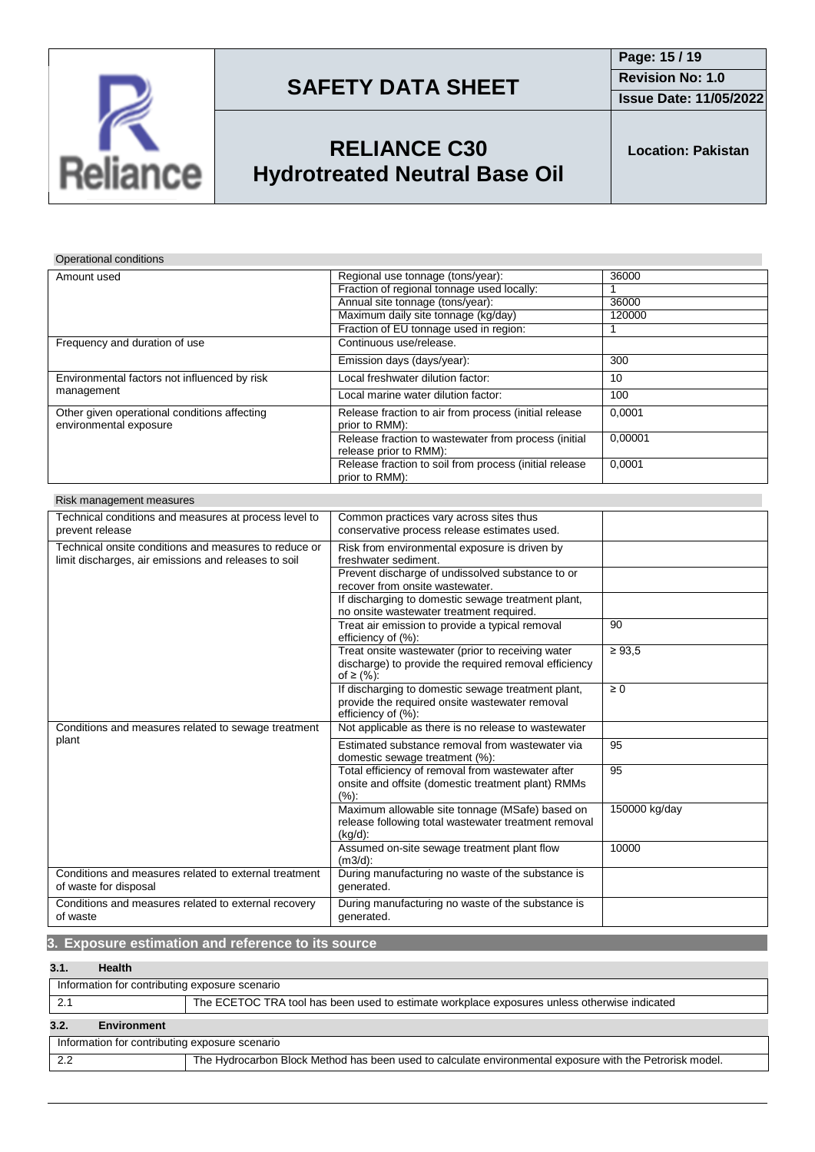

**Issue Date: 11/05/2022**

## **RELIANCE C30 Hydrotreated Neutral Base Oil**

**Location: Pakistan**

Operational conditions

| Amount used                                                            | Regional use tonnage (tons/year):                                              | 36000   |
|------------------------------------------------------------------------|--------------------------------------------------------------------------------|---------|
|                                                                        | Fraction of regional tonnage used locally:                                     |         |
|                                                                        | Annual site tonnage (tons/year):                                               | 36000   |
|                                                                        | Maximum daily site tonnage (kg/day)                                            | 120000  |
|                                                                        | Fraction of EU tonnage used in region:                                         |         |
| Frequency and duration of use                                          | Continuous use/release.                                                        |         |
|                                                                        | Emission days (days/year):                                                     | 300     |
| Environmental factors not influenced by risk<br>management             | Local freshwater dilution factor:                                              | 10      |
|                                                                        | Local marine water dilution factor:                                            | 100     |
| Other given operational conditions affecting<br>environmental exposure | Release fraction to air from process (initial release<br>prior to RMM):        | 0.0001  |
|                                                                        | Release fraction to wastewater from process (initial<br>release prior to RMM): | 0.00001 |
|                                                                        | Release fraction to soil from process (initial release<br>prior to RMM):       | 0,0001  |

| Risk management measures                              |                                                                       |               |
|-------------------------------------------------------|-----------------------------------------------------------------------|---------------|
| Technical conditions and measures at process level to | Common practices vary across sites thus                               |               |
| prevent release                                       | conservative process release estimates used.                          |               |
| Technical onsite conditions and measures to reduce or | Risk from environmental exposure is driven by                         |               |
| limit discharges, air emissions and releases to soil  | freshwater sediment.                                                  |               |
|                                                       | Prevent discharge of undissolved substance to or                      |               |
|                                                       | recover from onsite wastewater.                                       |               |
|                                                       | If discharging to domestic sewage treatment plant,                    |               |
|                                                       | no onsite wastewater treatment required.                              |               |
|                                                       | Treat air emission to provide a typical removal<br>efficiency of (%): | 90            |
|                                                       | Treat onsite wastewater (prior to receiving water                     | $\geq 93.5$   |
|                                                       | discharge) to provide the required removal efficiency<br>of ≥ $(%):$  |               |
|                                                       | If discharging to domestic sewage treatment plant,                    | $\geq 0$      |
|                                                       | provide the required onsite wastewater removal<br>efficiency of (%):  |               |
| Conditions and measures related to sewage treatment   | Not applicable as there is no release to wastewater                   |               |
| plant                                                 | Estimated substance removal from wastewater via                       | 95            |
|                                                       | domestic sewage treatment (%):                                        |               |
|                                                       | Total efficiency of removal from wastewater after                     | 95            |
|                                                       | onsite and offsite (domestic treatment plant) RMMs<br>(%):            |               |
|                                                       | Maximum allowable site tonnage (MSafe) based on                       | 150000 kg/day |
|                                                       | release following total wastewater treatment removal                  |               |
|                                                       | $(kq/d)$ :                                                            |               |
|                                                       | Assumed on-site sewage treatment plant flow<br>$(m3/d)$ :             | 10000         |
| Conditions and measures related to external treatment | During manufacturing no waste of the substance is                     |               |
| of waste for disposal                                 | generated.                                                            |               |
| Conditions and measures related to external recovery  | During manufacturing no waste of the substance is                     |               |
| of waste                                              | generated.                                                            |               |

### **3. Exposure estimation and reference to its source**

### **3.1. Health**

| Information for contributing exposure scenario                                               |                                                                                                          |  |
|----------------------------------------------------------------------------------------------|----------------------------------------------------------------------------------------------------------|--|
| The ECETOC TRA tool has been used to estimate workplace exposures unless otherwise indicated |                                                                                                          |  |
| 3.2.<br><b>Environment</b>                                                                   |                                                                                                          |  |
| Information for contributing exposure scenario                                               |                                                                                                          |  |
| 2.2                                                                                          | The Hydrocarbon Block Method has been used to calculate environmental exposure with the Petrorisk model. |  |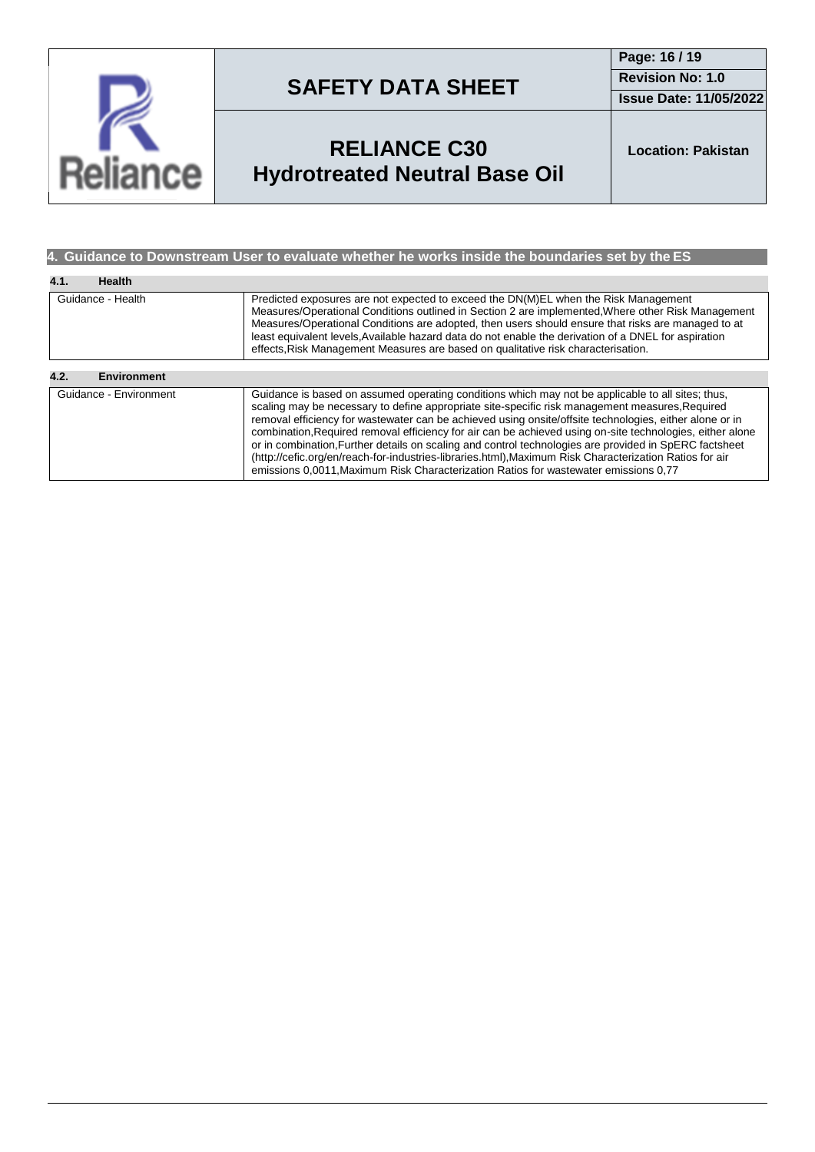

**Page: 16 / 19 Revision No: 1.0**

**Issue Date: 11/05/2022**

## **RELIANCE C30 Hydrotreated Neutral Base Oil**

**Location: Pakistan**

### **4. Guidance to Downstream User to evaluate whether he works inside the boundaries set by the ES**

| 4.1.<br><b>Health</b>      |                                                                                                                                                                                                                                                                                                                                                                                                                                                                                                                                                                                                                                                                                                                                           |  |
|----------------------------|-------------------------------------------------------------------------------------------------------------------------------------------------------------------------------------------------------------------------------------------------------------------------------------------------------------------------------------------------------------------------------------------------------------------------------------------------------------------------------------------------------------------------------------------------------------------------------------------------------------------------------------------------------------------------------------------------------------------------------------------|--|
| Guidance - Health          | Predicted exposures are not expected to exceed the DN(M)EL when the Risk Management<br>Measures/Operational Conditions outlined in Section 2 are implemented. Where other Risk Management<br>Measures/Operational Conditions are adopted, then users should ensure that risks are managed to at<br>least equivalent levels, Available hazard data do not enable the derivation of a DNEL for aspiration<br>effects, Risk Management Measures are based on qualitative risk characterisation.                                                                                                                                                                                                                                              |  |
| 4.2.<br><b>Environment</b> |                                                                                                                                                                                                                                                                                                                                                                                                                                                                                                                                                                                                                                                                                                                                           |  |
| Guidance - Environment     | Guidance is based on assumed operating conditions which may not be applicable to all sites; thus,<br>scaling may be necessary to define appropriate site-specific risk management measures, Required<br>removal efficiency for wastewater can be achieved using onsite/offsite technologies, either alone or in<br>combination, Required removal efficiency for air can be achieved using on-site technologies, either alone<br>or in combination, Further details on scaling and control technologies are provided in SpERC factsheet<br>(http://cefic.org/en/reach-for-industries-libraries.html), Maximum Risk Characterization Ratios for air<br>emissions 0.0011. Maximum Risk Characterization Ratios for wastewater emissions 0.77 |  |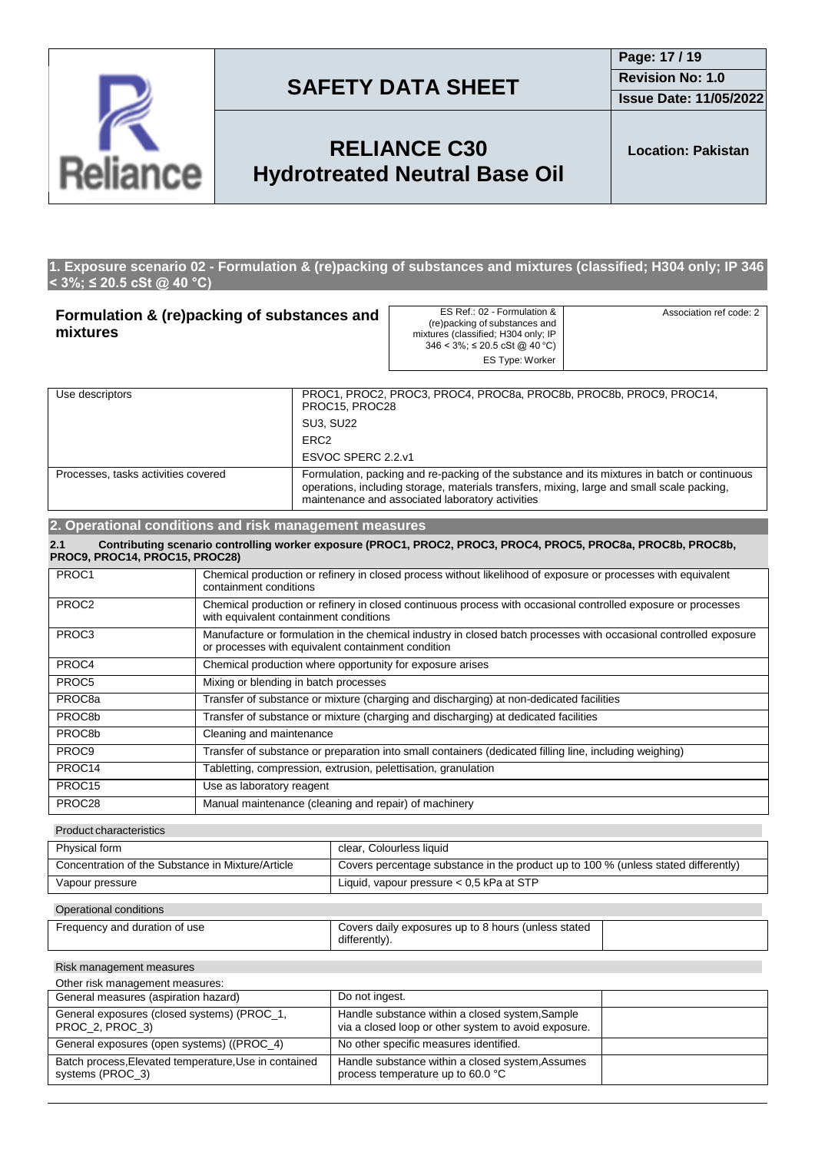

**Issue Date: 11/05/2022**

## **RELIANCE C30 Hydrotreated Neutral Base Oil**

**Location: Pakistan**

#### **1. Exposure scenario 02 - Formulation & (re)packing of substances and mixtures (classified; H304 only; IP 346 < 3%; ≤ 20.5 cSt @ 40 °C)**

| Formulation & (re)packing of substances and<br>mixtures |                                                                                                                                                                                                                                                | ES Ref.: 02 - Formulation &<br>(re)packing of substances and<br>mixtures (classified; H304 only; IP<br>$346 < 3\%$ ; $\leq 20.5$ cSt @ 40 °C)<br>ES Type: Worker | Association ref code: 2 |
|---------------------------------------------------------|------------------------------------------------------------------------------------------------------------------------------------------------------------------------------------------------------------------------------------------------|------------------------------------------------------------------------------------------------------------------------------------------------------------------|-------------------------|
| Use descriptors                                         | PROC15, PROC28                                                                                                                                                                                                                                 | PROC1, PROC2, PROC3, PROC4, PROC8a, PROC8b, PROC8b, PROC9, PROC14,                                                                                               |                         |
|                                                         | <b>SU3, SU22</b>                                                                                                                                                                                                                               |                                                                                                                                                                  |                         |
|                                                         | ERC <sub>2</sub>                                                                                                                                                                                                                               |                                                                                                                                                                  |                         |
|                                                         | ESVOC SPERC 2.2.v1                                                                                                                                                                                                                             |                                                                                                                                                                  |                         |
| Processes, tasks activities covered                     | Formulation, packing and re-packing of the substance and its mixtures in batch or continuous<br>operations, including storage, materials transfers, mixing, large and small scale packing,<br>maintenance and associated laboratory activities |                                                                                                                                                                  |                         |
| 2. Operational conditions and risk management measures  |                                                                                                                                                                                                                                                |                                                                                                                                                                  |                         |

| Contributing scenario controlling worker exposure (PROC1, PROC2, PROC3, PROC4, PROC5, PROC8a, PROC8b, PROC8b,<br>2.1<br>PROC9, PROC14, PROC15, PROC28) |                                                                                                                                                                         |  |
|--------------------------------------------------------------------------------------------------------------------------------------------------------|-------------------------------------------------------------------------------------------------------------------------------------------------------------------------|--|
| PROC1                                                                                                                                                  | Chemical production or refinery in closed process without likelihood of exposure or processes with equivalent<br>containment conditions                                 |  |
| PROC <sub>2</sub>                                                                                                                                      | Chemical production or refinery in closed continuous process with occasional controlled exposure or processes<br>with equivalent containment conditions                 |  |
| PROC3                                                                                                                                                  | Manufacture or formulation in the chemical industry in closed batch processes with occasional controlled exposure<br>or processes with equivalent containment condition |  |
| PROC4                                                                                                                                                  | Chemical production where opportunity for exposure arises                                                                                                               |  |
| PROC5                                                                                                                                                  | Mixing or blending in batch processes                                                                                                                                   |  |
| PROC <sub>8a</sub>                                                                                                                                     | Transfer of substance or mixture (charging and discharging) at non-dedicated facilities                                                                                 |  |
| PROC8b                                                                                                                                                 | Transfer of substance or mixture (charging and discharging) at dedicated facilities                                                                                     |  |
| PROC8b                                                                                                                                                 | Cleaning and maintenance                                                                                                                                                |  |
| PROC <sub>9</sub>                                                                                                                                      | Transfer of substance or preparation into small containers (dedicated filling line, including weighing)                                                                 |  |
| PROC14                                                                                                                                                 | Tabletting, compression, extrusion, pelettisation, granulation                                                                                                          |  |
| PROC15                                                                                                                                                 | Use as laboratory reagent                                                                                                                                               |  |
| PROC28                                                                                                                                                 | Manual maintenance (cleaning and repair) of machinery                                                                                                                   |  |

Product characteristics

| Physical form                                     | clear, Colourless liquid                                                           |
|---------------------------------------------------|------------------------------------------------------------------------------------|
| Concentration of the Substance in Mixture/Article | Covers percentage substance in the product up to 100 % (unless stated differently) |
| Vapour pressure                                   | Liquid, vapour pressure $< 0.5$ kPa at STP                                         |

#### Operational conditions

| Frequency and duration of use | Covers daily exposures up to 8 hours (unless stated |  |
|-------------------------------|-----------------------------------------------------|--|
|                               | <br>differently).                                   |  |

Risk management measures

| Other risk management measures:                                           |                                                                                                         |  |  |
|---------------------------------------------------------------------------|---------------------------------------------------------------------------------------------------------|--|--|
| General measures (aspiration hazard)                                      | Do not ingest.                                                                                          |  |  |
| General exposures (closed systems) (PROC 1,<br>PROC_2, PROC_3)            | Handle substance within a closed system, Sample<br>via a closed loop or other system to avoid exposure. |  |  |
| General exposures (open systems) ((PROC_4)                                | No other specific measures identified.                                                                  |  |  |
| Batch process, Elevated temperature, Use in contained<br>systems (PROC 3) | Handle substance within a closed system, Assumes<br>process temperature up to 60.0 °C                   |  |  |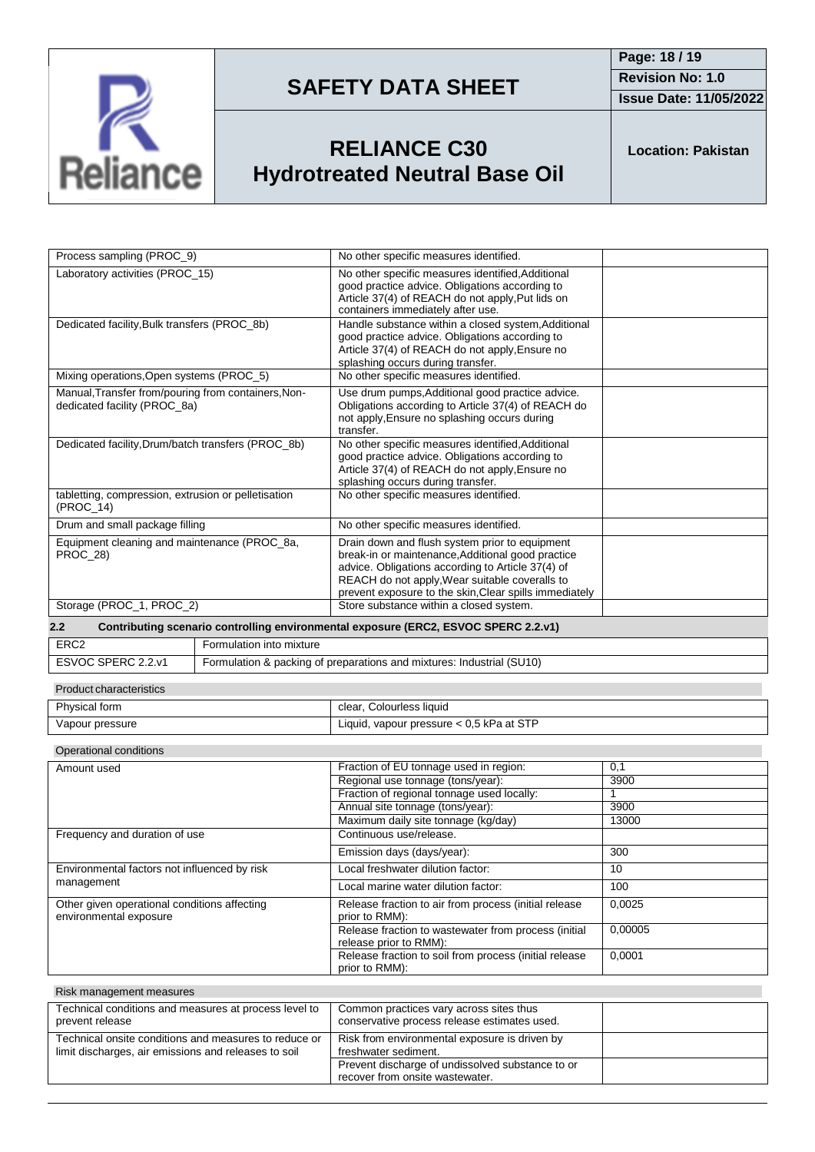

**Issue Date: 11/05/2022**

## **RELIANCE C30 Hydrotreated Neutral Base Oil**

**Location: Pakistan**

| Process sampling (PROC_9)                                                           |                          | No other specific measures identified.                                                                                                                                                                                                                               |         |
|-------------------------------------------------------------------------------------|--------------------------|----------------------------------------------------------------------------------------------------------------------------------------------------------------------------------------------------------------------------------------------------------------------|---------|
| Laboratory activities (PROC_15)                                                     |                          | No other specific measures identified, Additional<br>good practice advice. Obligations according to<br>Article 37(4) of REACH do not apply, Put lids on<br>containers immediately after use.                                                                         |         |
| Dedicated facility, Bulk transfers (PROC_8b)                                        |                          | Handle substance within a closed system, Additional<br>good practice advice. Obligations according to<br>Article 37(4) of REACH do not apply, Ensure no<br>splashing occurs during transfer.                                                                         |         |
| Mixing operations, Open systems (PROC_5)                                            |                          | No other specific measures identified.                                                                                                                                                                                                                               |         |
| Manual, Transfer from/pouring from containers, Non-<br>dedicated facility (PROC_8a) |                          | Use drum pumps, Additional good practice advice.<br>Obligations according to Article 37(4) of REACH do<br>not apply, Ensure no splashing occurs during<br>transfer.                                                                                                  |         |
| Dedicated facility, Drum/batch transfers (PROC_8b)                                  |                          | No other specific measures identified, Additional<br>good practice advice. Obligations according to<br>Article 37(4) of REACH do not apply, Ensure no<br>splashing occurs during transfer.                                                                           |         |
| tabletting, compression, extrusion or pelletisation<br>(PROC_14)                    |                          | No other specific measures identified.                                                                                                                                                                                                                               |         |
| Drum and small package filling                                                      |                          | No other specific measures identified.                                                                                                                                                                                                                               |         |
| Equipment cleaning and maintenance (PROC_8a,<br>PROC_28)                            |                          | Drain down and flush system prior to equipment<br>break-in or maintenance, Additional good practice<br>advice. Obligations according to Article 37(4) of<br>REACH do not apply, Wear suitable coveralls to<br>prevent exposure to the skin, Clear spills immediately |         |
| Storage (PROC_1, PROC_2)                                                            |                          | Store substance within a closed system.                                                                                                                                                                                                                              |         |
|                                                                                     |                          |                                                                                                                                                                                                                                                                      |         |
| 2.2                                                                                 |                          | Contributing scenario controlling environmental exposure (ERC2, ESVOC SPERC 2.2.v1)                                                                                                                                                                                  |         |
| ERC <sub>2</sub>                                                                    | Formulation into mixture |                                                                                                                                                                                                                                                                      |         |
| ESVOC SPERC 2.2.v1                                                                  |                          | Formulation & packing of preparations and mixtures: Industrial (SU10)                                                                                                                                                                                                |         |
| <b>Product characteristics</b>                                                      |                          |                                                                                                                                                                                                                                                                      |         |
| Physical form                                                                       |                          | clear, Colourless liquid                                                                                                                                                                                                                                             |         |
| Vapour pressure                                                                     |                          | Liquid, vapour pressure < 0,5 kPa at STP                                                                                                                                                                                                                             |         |
| Operational conditions                                                              |                          |                                                                                                                                                                                                                                                                      |         |
| Amount used                                                                         |                          | Fraction of EU tonnage used in region:                                                                                                                                                                                                                               | 0,1     |
|                                                                                     |                          | Regional use tonnage (tons/year):                                                                                                                                                                                                                                    | 3900    |
|                                                                                     |                          | Fraction of regional tonnage used locally:                                                                                                                                                                                                                           | 1       |
|                                                                                     |                          | Annual site tonnage (tons/year):                                                                                                                                                                                                                                     | 3900    |
|                                                                                     |                          | Maximum daily site tonnage (kg/day)                                                                                                                                                                                                                                  | 13000   |
| Frequency and duration of use                                                       |                          | Continuous use/release.                                                                                                                                                                                                                                              |         |
|                                                                                     |                          | Emission days (days/year):                                                                                                                                                                                                                                           | 300     |
| Environmental factors not influenced by risk                                        |                          | Local freshwater dilution factor:                                                                                                                                                                                                                                    | 10      |
| management                                                                          |                          | Local marine water dilution factor:                                                                                                                                                                                                                                  | 100     |
| Other given operational conditions affecting<br>environmental exposure              |                          | Release fraction to air from process (initial release<br>prior to RMM):                                                                                                                                                                                              | 0,0025  |
|                                                                                     |                          | Release fraction to wastewater from process (initial<br>release prior to RMM):<br>Release fraction to soil from process (initial release                                                                                                                             | 0.00005 |

| Risk management measures                                                                                      |                                                                                         |  |
|---------------------------------------------------------------------------------------------------------------|-----------------------------------------------------------------------------------------|--|
| Technical conditions and measures at process level to<br>prevent release                                      | Common practices vary across sites thus<br>conservative process release estimates used. |  |
| Technical onsite conditions and measures to reduce or<br>limit discharges, air emissions and releases to soil | Risk from environmental exposure is driven by<br>freshwater sediment.                   |  |
|                                                                                                               | Prevent discharge of undissolved substance to or<br>recover from onsite wastewater.     |  |